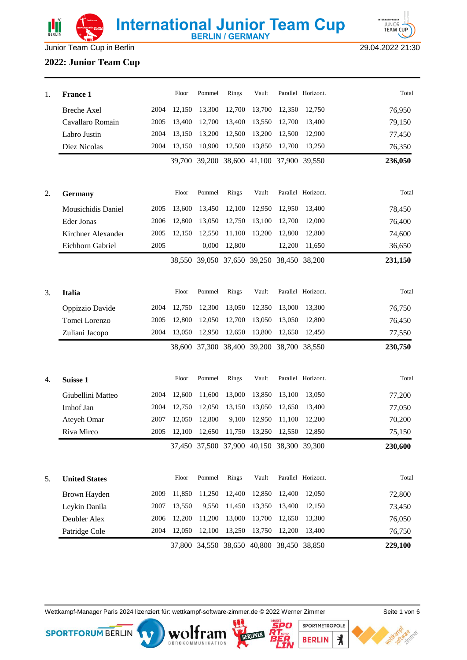



Junior Team Cup in Berlin 29.04.2022 21:30

### **2022: Junior Team Cup**

| 1. | <b>France 1</b>      |      | Floor  | Pommel | Rings                | Vault                                     |        | Parallel Horizont. | Total   |
|----|----------------------|------|--------|--------|----------------------|-------------------------------------------|--------|--------------------|---------|
|    | <b>Breche Axel</b>   | 2004 | 12,150 | 13,300 | 12,700               | 13,700                                    | 12,350 | 12,750             | 76,950  |
|    | Cavallaro Romain     | 2005 | 13,400 | 12,700 | 13,400               | 13,550                                    | 12,700 | 13,400             | 79,150  |
|    | Labro Justin         | 2004 | 13,150 | 13,200 | 12,500               | 13,200                                    | 12,500 | 12,900             | 77,450  |
|    | Diez Nicolas         | 2004 | 13,150 | 10,900 | 12,500               | 13,850                                    | 12,700 | 13,250             | 76,350  |
|    |                      |      |        |        |                      | 39,700 39,200 38,600 41,100 37,900 39,550 |        |                    | 236,050 |
| 2. | <b>Germany</b>       |      | Floor  | Pommel | Rings                | Vault                                     |        | Parallel Horizont. | Total   |
|    | Mousichidis Daniel   | 2005 | 13,600 | 13,450 | 12,100               | 12,950                                    | 12,950 | 13,400             | 78,450  |
|    | Eder Jonas           | 2006 | 12,800 | 13,050 | 12,750               | 13,100                                    | 12,700 | 12,000             | 76,400  |
|    | Kirchner Alexander   | 2005 | 12,150 | 12,550 | 11,100               | 13,200                                    | 12,800 | 12,800             | 74,600  |
|    | Eichhorn Gabriel     | 2005 |        | 0,000  | 12,800               |                                           | 12,200 | 11,650             | 36,650  |
|    |                      |      |        |        |                      | 38,550 39,050 37,650 39,250               |        | 38,450 38,200      | 231,150 |
| 3. | <b>Italia</b>        |      | Floor  | Pommel | Rings                | Vault                                     |        | Parallel Horizont. | Total   |
|    | Oppizzio Davide      | 2004 | 12,750 | 12,300 | 13,050               | 12,350                                    | 13,000 | 13,300             | 76,750  |
|    | Tomei Lorenzo        | 2005 | 12,800 | 12,050 | 12,700               | 13,050                                    | 13,050 | 12,800             | 76,450  |
|    | Zuliani Jacopo       | 2004 | 13,050 | 12,950 | 12,650               | 13,800                                    | 12,650 | 12,450             | 77,550  |
|    |                      |      |        |        |                      | 38,600 37,300 38,400 39,200 38,700 38,550 |        |                    | 230,750 |
| 4. | Suisse 1             |      | Floor  | Pommel | Rings                | Vault                                     |        | Parallel Horizont. | Total   |
|    | Giubellini Matteo    | 2004 | 12,600 | 11,600 | 13,000               | 13,850                                    | 13,100 | 13,050             | 77,200  |
|    | Imhof Jan            | 2004 | 12,750 | 12,050 | 13,150               | 13,050                                    | 12,650 | 13,400             | 77,050  |
|    | Ateyeh Omar          | 2007 | 12,050 | 12,800 | 9,100                | 12,950                                    | 11,100 | 12,200             | 70,200  |
|    | Riva Mirco           | 2005 | 12,100 | 12,650 | 11,750               | 13,250                                    | 12,550 | 12,850             | 75,150  |
|    |                      |      |        |        |                      | 37,450 37,500 37,900 40,150 38,300 39,300 |        |                    | 230,600 |
| 5. | <b>United States</b> |      | Floor  | Pommel | Rings                | Vault                                     |        | Parallel Horizont. | Total   |
|    | Brown Hayden         | 2009 | 11,850 | 11,250 | 12,400               | 12,850                                    | 12,400 | 12,050             | 72,800  |
|    | Leykin Danila        | 2007 | 13,550 | 9,550  | 11,450               | 13,350                                    | 13,400 | 12,150             | 73,450  |
|    | Deubler Alex         | 2006 | 12,200 | 11,200 | 13,000               | 13,700                                    | 12,650 | 13,300             | 76,050  |
|    | Patridge Cole        | 2004 | 12,050 | 12,100 | 13,250               | 13,750                                    | 12,200 | 13,400             | 76,750  |
|    |                      |      | 37,800 |        | 34,550 38,650 40,800 |                                           |        | 38,450 38,850      | 229,100 |

Wettkampf-Manager Paris 2024 lizenziert für: wettkampf-software-zimmer.de © 2022 Werner Zimmer Seite 1 von 6

BOROKOMMUNIKATION

**SPORTFORUM BERLIN** 



SPORTMETROPOLE

**BERLIN** 

 $\star$ 

5PO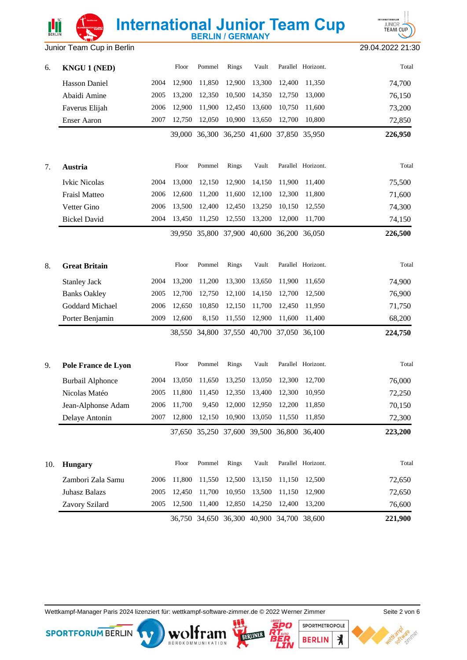### Junior Team Cup in Berlin 29.04.2022 21:30

**INTERNATIONALE** 

| 6.  | <b>KNGU 1 (NED)</b>     |      | Floor       | Pommel | Rings         | Vault                                     |        | Parallel Horizont. | Total   |
|-----|-------------------------|------|-------------|--------|---------------|-------------------------------------------|--------|--------------------|---------|
|     | Hasson Daniel           | 2004 | 12,900      | 11,850 | 12,900        | 13,300                                    | 12,400 | 11,350             | 74,700  |
|     | Abaidi Amine            | 2005 | 13,200      | 12,350 | 10,500        | 14,350                                    | 12,750 | 13,000             | 76,150  |
|     | Faverus Elijah          | 2006 | 12,900      | 11,900 | 12,450        | 13,600                                    | 10,750 | 11,600             | 73,200  |
|     | <b>Enser Aaron</b>      | 2007 | 12,750      | 12,050 | 10,900        | 13,650                                    | 12,700 | 10,800             | 72,850  |
|     |                         |      | 39,000      |        |               | 36,300 36,250 41,600 37,850 35,950        |        |                    | 226,950 |
| 7.  | Austria                 |      | Floor       | Pommel | Rings         | Vault                                     |        | Parallel Horizont. | Total   |
|     | <b>Ivkic Nicolas</b>    | 2004 | 13,000      | 12,150 | 12,900        | 14,150                                    | 11,900 | 11,400             | 75,500  |
|     | Fraisl Matteo           | 2006 | 12,600      | 11,200 | 11,600        | 12,100                                    | 12,300 | 11,800             | 71,600  |
|     | Vetter Gino             | 2006 | 13,500      | 12,400 | 12,450        | 13,250                                    | 10,150 | 12,550             | 74,300  |
|     | <b>Bickel David</b>     | 2004 | 13,450      | 11,250 | 12,550        | 13,200                                    | 12,000 | 11,700             | 74,150  |
|     |                         |      | 39.950      |        | 35,800 37,900 | 40,600                                    |        | 36,200 36,050      | 226,500 |
| 8.  | <b>Great Britain</b>    |      | Floor       | Pommel | Rings         | Vault                                     |        | Parallel Horizont. | Total   |
|     | <b>Stanley Jack</b>     | 2004 | 13,200      | 11,200 | 13,300        | 13,650                                    | 11,900 | 11,650             | 74,900  |
|     | <b>Banks Oakley</b>     | 2005 | 12,700      | 12,750 | 12,100        | 14,150                                    | 12,700 | 12,500             | 76,900  |
|     | Goddard Michael         | 2006 | 12,650      | 10,850 | 12,150        | 11,700                                    | 12,450 | 11,950             | 71,750  |
|     | Porter Benjamin         | 2009 | 12,600      | 8,150  | 11,550        | 12,900                                    | 11,600 | 11,400             | 68,200  |
|     |                         |      | 38,550      |        |               | 34,800 37,550 40,700                      |        | 37,050 36,100      | 224,750 |
| 9.  | Pole France de Lyon     |      | Floor       | Pommel | Rings         | Vault                                     |        | Parallel Horizont. | Total   |
|     | <b>Burbail Alphonce</b> | 2004 | 13,050      | 11,650 | 13,250        | 13,050                                    | 12,300 | 12,700             | 76,000  |
|     | Nicolas Matéo           | 2005 | 11,800      | 11,450 | 12,350        | 13,400                                    | 12,300 | 10,950             | 72,250  |
|     | Jean-Alphonse Adam      |      | 2006 11,700 |        |               | 9,450 12,000 12,950 12,200                |        | 11,850             | 70,150  |
|     | Delaye Antonin          | 2007 | 12,800      | 12,150 | 10,900        | 13,050                                    | 11,550 | 11,850             | 72,300  |
|     |                         |      |             |        |               | 37,650 35,250 37,600 39,500 36,800 36,400 |        |                    | 223,200 |
| 10. | <b>Hungary</b>          |      | Floor       | Pommel | Rings         | Vault                                     |        | Parallel Horizont. | Total   |
|     | Zambori Zala Samu       | 2006 | 11,800      | 11,550 | 12,500        | 13,150                                    | 11,150 | 12,500             | 72,650  |
|     | <b>Juhasz Balazs</b>    | 2005 | 12,450      | 11,700 | 10,950        | 13,500                                    | 11,150 | 12,900             | 72,650  |
|     | Zavory Szilard          | 2005 | 12,500      | 11,400 | 12,850        | 14,250                                    | 12,400 | 13,200             | 76,600  |
|     |                         |      |             |        |               | 36,750 34,650 36,300 40,900 34,700 38,600 |        |                    | 221,900 |

**International Junior Team Cup** 

Wettkampf-Manager Paris 2024 lizenziert für: wettkampf-software-zimmer.de © 2022 Werner Zimmer Seite 2 von 6

BÜROKOMMUNIKATION

**SPORTFORUM BERLIN** 



l e To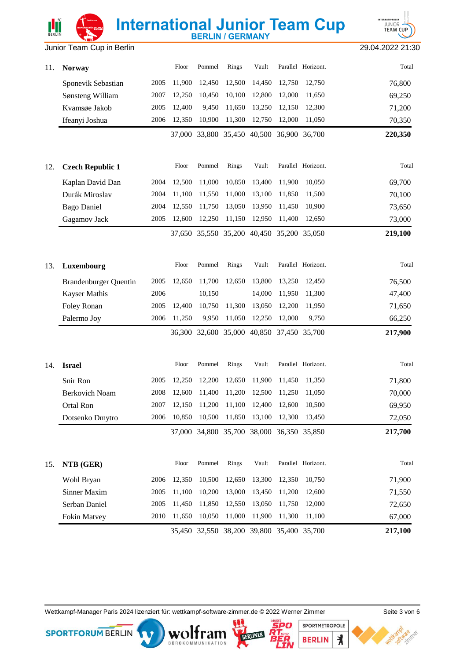# **International Junior Team Cup** Junior Team Cup in Berlin 29.04.2022 21:30



| 11. | <b>Norway</b>                |      | Floor  | Pommel               | Rings  | Vault                                     |               | Parallel Horizont. | Total   |
|-----|------------------------------|------|--------|----------------------|--------|-------------------------------------------|---------------|--------------------|---------|
|     | Sponevik Sebastian           | 2005 | 11,900 | 12,450               | 12,500 | 14,450                                    | 12,750        | 12,750             | 76,800  |
|     | Sønsteng William             | 2007 | 12,250 | 10,450               | 10,100 | 12,800                                    | 12,000        | 11,650             | 69,250  |
|     | Kvamsøe Jakob                | 2005 | 12,400 | 9,450                | 11,650 | 13,250                                    | 12,150        | 12,300             | 71,200  |
|     | Ifeanyi Joshua               | 2006 | 12,350 | 10,900               | 11,300 | 12,750                                    | 12,000        | 11,050             | 70,350  |
|     |                              |      |        |                      |        | 37,000 33,800 35,450 40,500 36,900        |               | 36,700             | 220,350 |
| 12. | <b>Czech Republic 1</b>      |      | Floor  | Pommel               | Rings  | Vault                                     |               | Parallel Horizont. | Total   |
|     | Kaplan David Dan             | 2004 | 12,500 | 11,000               | 10,850 | 13,400                                    | 11,900        | 10,050             | 69,700  |
|     | Durák Miroslav               | 2004 | 11,100 | 11,550               | 11,000 | 13,100                                    | 11,850        | 11,500             | 70,100  |
|     | <b>Bago Daniel</b>           | 2004 | 12,550 | 11,750               | 13,050 | 13,950                                    | 11,450        | 10,900             | 73,650  |
|     | Gagamov Jack                 | 2005 | 12,600 | 12,250               | 11,150 | 12,950                                    | 11,400        | 12,650             | 73,000  |
|     |                              |      | 37.650 |                      |        | 35,550 35,200 40,450 35,200               |               | 35,050             | 219,100 |
| 13. | Luxembourg                   |      | Floor  | Pommel               | Rings  | Vault                                     |               | Parallel Horizont. | Total   |
|     | <b>Brandenburger Quentin</b> | 2005 | 12,650 | 11,700               | 12,650 | 13,800                                    | 13,250        | 12,450             | 76,500  |
|     | Kayser Mathis                | 2006 |        | 10,150               |        | 14,000                                    | 11,950        | 11,300             | 47,400  |
|     | Foley Ronan                  | 2005 | 12,400 | 10,750               | 11,300 | 13,050                                    | 12,200        | 11,950             | 71,650  |
|     | Palermo Joy                  | 2006 | 11,250 | 9,950                | 11,050 | 12,250                                    | 12,000        | 9,750              | 66,250  |
|     |                              |      |        | 36,300 32,600 35,000 |        |                                           | 40,850 37,450 | 35,700             | 217,900 |
| 14. | <b>Israel</b>                |      | Floor  | Pommel               | Rings  | Vault                                     |               | Parallel Horizont. | Total   |
|     | Snir Ron                     | 2005 | 12,250 | 12,200               | 12,650 | 11,900                                    | 11,450        | 11,350             | 71,800  |
|     | <b>Berkovich Noam</b>        | 2008 | 12,600 | 11,400               | 11,200 | 12,500                                    | 11,250        | 11,050             | 70,000  |
|     | Ortal Ron                    | 2007 | 12,150 | 11,200               | 11,100 | 12,400                                    | 12,600        | 10,500             | 69,950  |
|     | Dotsenko Dmytro              | 2006 | 10,850 | 10,500               | 11,850 | 13,100                                    | 12,300        | 13,450             | 72,050  |
|     |                              |      |        |                      |        | 37,000 34,800 35,700 38,000 36,350 35,850 |               |                    | 217,700 |
| 15. | NTB (GER)                    |      | Floor  | Pommel               | Rings  | Vault                                     |               | Parallel Horizont. | Total   |
|     | Wohl Bryan                   | 2006 | 12,350 | 10,500               | 12,650 | 13,300                                    | 12,350        | 10,750             | 71,900  |
|     | <b>Sinner Maxim</b>          | 2005 | 11,100 | 10,200               | 13,000 | 13,450                                    | 11,200        | 12,600             | 71,550  |
|     | Serban Daniel                | 2005 | 11,450 | 11,850               | 12,550 | 13,050                                    | 11,750        | 12,000             | 72,650  |
|     | Fokin Matvey                 | 2010 | 11,650 | 10,050               | 11,000 | 11,900                                    | 11,300        | 11,100             | 67,000  |
|     |                              |      |        |                      |        | 35,450 32,550 38,200 39,800 35,400 35,700 |               |                    | 217,100 |

Wettkampf-Manager Paris 2024 lizenziert für: wettkampf-software-zimmer.de © 2022 Werner Zimmer Seite 3 von 6

wolf

KATION

**SPORTFORUM BERLIN** 

SPORTMETROPOLE

**BERLIN** 

 $\star$ 

'e Tê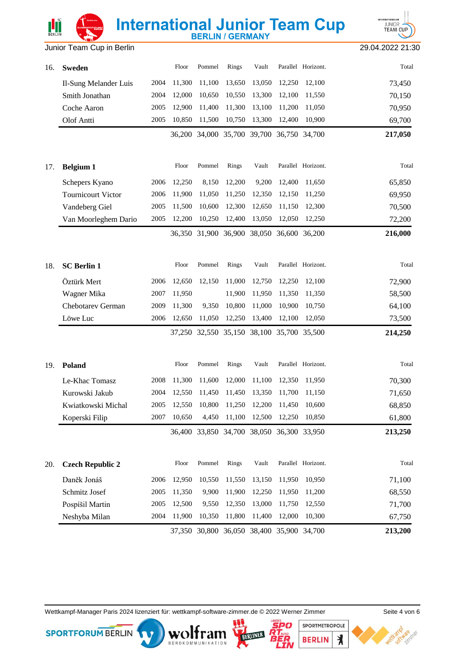# **International Junior Team Cup** Junior Team Cup in Berlin 29.04.2022 21:30



| 16. | <b>Sweden</b>             |      | Floor  | Pommel | Rings  | Vault                                     |        | Parallel Horizont. | Total   |
|-----|---------------------------|------|--------|--------|--------|-------------------------------------------|--------|--------------------|---------|
|     | Il-Sung Melander Luis     | 2004 | 11,300 | 11,100 | 13,650 | 13,050                                    | 12,250 | 12,100             | 73,450  |
|     | Smith Jonathan            | 2004 | 12,000 | 10,650 | 10,550 | 13,300                                    | 12,100 | 11,550             | 70,150  |
|     | Coche Aaron               | 2005 | 12,900 | 11,400 | 11,300 | 13,100                                    | 11,200 | 11,050             | 70,950  |
|     | Olof Antti                | 2005 | 10,850 | 11,500 | 10,750 | 13,300                                    | 12,400 | 10,900             | 69,700  |
|     |                           |      |        |        |        | 36,200 34,000 35,700 39,700 36,750 34,700 |        |                    | 217,050 |
| 17. | <b>Belgium 1</b>          |      | Floor  | Pommel | Rings  | Vault                                     |        | Parallel Horizont. | Total   |
|     | Schepers Kyano            | 2006 | 12,250 | 8,150  | 12,200 | 9,200                                     | 12,400 | 11,650             | 65,850  |
|     | <b>Tournicourt Victor</b> | 2006 | 11,900 | 11,050 | 11,250 | 12,350                                    | 12,150 | 11,250             | 69,950  |
|     | Vandeberg Giel            | 2005 | 11,500 | 10,600 | 12,300 | 12,650                                    | 11,150 | 12,300             | 70,500  |
|     | Van Moorleghem Dario      | 2005 | 12,200 | 10,250 | 12,400 | 13,050                                    | 12,050 | 12,250             | 72,200  |
|     |                           |      |        |        |        | 36,350 31,900 36,900 38,050 36,600 36,200 |        |                    | 216,000 |
| 18. | <b>SC Berlin 1</b>        |      | Floor  | Pommel | Rings  | Vault                                     |        | Parallel Horizont. | Total   |
|     | Öztürk Mert               | 2006 | 12,650 | 12,150 | 11,000 | 12,750                                    | 12,250 | 12,100             | 72,900  |
|     | Wagner Mika               | 2007 | 11,950 |        | 11,900 | 11,950                                    | 11,350 | 11,350             | 58,500  |
|     | Chebotarev German         | 2009 | 11,300 | 9,350  | 10,800 | 11,000                                    | 10,900 | 10,750             | 64,100  |
|     | Löwe Luc                  | 2006 | 12,650 | 11,050 | 12,250 | 13,400                                    | 12,100 | 12,050             | 73,500  |
|     |                           |      |        |        |        | 37,250 32,550 35,150 38,100 35,700 35,500 |        |                    | 214,250 |
| 19. | Poland                    |      | Floor  | Pommel | Rings  | Vault                                     |        | Parallel Horizont. | Total   |
|     | Le-Khac Tomasz            | 2008 | 11,300 | 11,600 | 12,000 | 11,100                                    | 12,350 | 11,950             | 70,300  |
|     | Kurowski Jakub            | 2004 | 12,550 | 11,450 | 11,450 | 13,350                                    | 11,700 | 11,150             | 71,650  |
|     | Kwiatkowski Michal        | 2005 | 12,550 | 10,800 |        | 11,250 12,200                             | 11,450 | 10,600             | 68,850  |
|     | Koperski Filip            | 2007 | 10,650 |        |        | 4,450 11,100 12,500 12,250 10,850         |        |                    | 61,800  |
|     |                           |      |        |        |        | 36,400 33,850 34,700 38,050 36,300 33,950 |        |                    | 213,250 |
| 20. | <b>Czech Republic 2</b>   |      | Floor  | Pommel | Rings  | Vault                                     |        | Parallel Horizont. | Total   |
|     | Daněk Jonáš               | 2006 | 12,950 | 10,550 | 11,550 | 13,150                                    | 11,950 | 10,950             | 71,100  |
|     | Schmitz Josef             | 2005 | 11,350 | 9,900  | 11,900 | 12,250                                    | 11,950 | 11,200             | 68,550  |
|     | Pospíšil Martin           | 2005 | 12,500 | 9,550  | 12,350 | 13,000                                    | 11,750 | 12,550             | 71,700  |
|     | Neshyba Milan             | 2004 | 11,900 | 10,350 | 11,800 | 11,400                                    | 12,000 | 10,300             | 67,750  |
|     |                           |      |        |        |        | 37,350 30,800 36,050 38,400 35,900 34,700 |        |                    | 213,200 |

Wettkampf-Manager Paris 2024 lizenziert für: wettkampf-software-zimmer.de © 2022 Werner Zimmer Seite 4 von 6

BÜROKOMMUNIKATION

**SPORTFORUM BERLIN** 



SPORTMETROPOLE

**BERLIN** 

 $\star$ 

7.77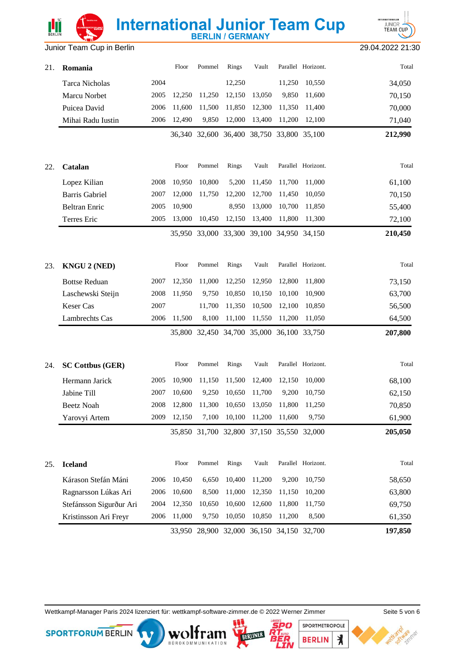

Junior Team Cup in Berlin 29.04.2022 21:30

| 21. | Romania                 |      | Floor  | Pommel                                    | Rings  | Vault                                          |        | Parallel Horizont. | Total   |
|-----|-------------------------|------|--------|-------------------------------------------|--------|------------------------------------------------|--------|--------------------|---------|
|     | <b>Tarca Nicholas</b>   | 2004 |        |                                           | 12,250 |                                                | 11,250 | 10,550             | 34,050  |
|     | Marcu Norbet            | 2005 | 12,250 | 11,250                                    | 12,150 | 13,050                                         | 9,850  | 11,600             | 70,150  |
|     | Puicea David            | 2006 | 11,600 | 11,500                                    | 11,850 | 12,300                                         | 11,350 | 11,400             | 70,000  |
|     | Mihai Radu Iustin       | 2006 | 12,490 | 9,850                                     | 12,000 | 13,400                                         | 11,200 | 12,100             | 71,040  |
|     |                         |      |        |                                           |        | 36,340 32,600 36,400 38,750 33,800 35,100      |        |                    | 212,990 |
| 22. | Catalan                 |      | Floor  | Pommel                                    | Rings  | Vault                                          |        | Parallel Horizont. | Total   |
|     | Lopez Kilian            | 2008 | 10,950 | 10,800                                    | 5,200  | 11,450                                         | 11,700 | 11,000             | 61,100  |
|     | <b>Barris Gabriel</b>   | 2007 | 12,000 | 11,750                                    | 12,200 | 12,700                                         | 11,450 | 10,050             | 70,150  |
|     | <b>Beltran Enric</b>    | 2005 | 10,900 |                                           | 8,950  | 13,000                                         | 10,700 | 11,850             | 55,400  |
|     | Terres Eric             | 2005 | 13,000 | 10,450                                    | 12,150 | 13,400                                         | 11,800 | 11,300             | 72,100  |
|     |                         |      |        |                                           |        | 35,950 33,000 33,300 39,100 34,950 34,150      |        |                    | 210,450 |
| 23. | <b>KNGU 2 (NED)</b>     |      | Floor  | Pommel                                    | Rings  | Vault                                          |        | Parallel Horizont. | Total   |
|     | <b>Bottse Reduan</b>    | 2007 | 12,350 | 11,000                                    | 12,250 | 12,950                                         | 12,800 | 11,800             | 73,150  |
|     | Laschewski Steijn       | 2008 | 11,950 | 9,750                                     | 10,850 | 10,150                                         | 10,100 | 10,900             | 63,700  |
|     | <b>Keser Cas</b>        | 2007 |        | 11,700                                    | 11,350 | 10,500                                         | 12,100 | 10,850             | 56,500  |
|     | Lambrechts Cas          | 2006 | 11,500 | 8,100                                     | 11,100 | 11,550                                         | 11,200 | 11,050             | 64,500  |
|     |                         |      |        |                                           |        | 35,800 32,450 34,700 35,000 36,100 33,750      |        |                    | 207,800 |
| 24. | <b>SC Cottbus (GER)</b> |      | Floor  | Pommel                                    | Rings  | Vault                                          |        | Parallel Horizont. | Total   |
|     | Hermann Jarick          | 2005 | 10,900 | 11,150                                    | 11,500 | 12,400                                         | 12,150 | 10,000             | 68,100  |
|     | Jabine Till             | 2007 | 10,600 | 9,250                                     | 10,650 | 11,700                                         | 9,200  | 10,750             | 62,150  |
|     | Beetz Noah              |      |        |                                           |        | 2008 12,800 11,300 10,650 13,050 11,800 11,250 |        |                    | 70,850  |
|     | Yarovyi Artem           | 2009 | 12,150 | 7,100                                     | 10,100 | 11,200                                         | 11,600 | 9,750              | 61,900  |
|     |                         |      |        |                                           |        | 35,850 31,700 32,800 37,150 35,550 32,000      |        |                    | 205,050 |
| 25. | <b>Iceland</b>          |      | Floor  | Pommel                                    | Rings  | Vault                                          |        | Parallel Horizont. | Total   |
|     | Kárason Stefán Máni     | 2006 | 10,450 | 6,650                                     | 10,400 | 11,200                                         | 9,200  | 10,750             | 58,650  |
|     | Ragnarsson Lúkas Ari    | 2006 | 10,600 | 8,500                                     | 11,000 | 12,350                                         | 11,150 | 10,200             | 63,800  |
|     | Stefánsson Sigurður Ari | 2004 | 12,350 | 10,650                                    | 10,600 | 12,600                                         | 11,800 | 11,750             | 69,750  |
|     | Kristinsson Ari Freyr   | 2006 | 11,000 | 9,750                                     | 10,050 | 10,850                                         | 11,200 | 8,500              | 61,350  |
|     |                         |      |        | 33,950 28,900 32,000 36,150 34,150 32,700 |        |                                                |        |                    | 197,850 |

Wettkampf-Manager Paris 2024 lizenziert für: wettkampf-software-zimmer.de © 2022 Werner Zimmer Seite 5 von 6

**SPORTFORUM BERLIN** 

BOROKOMMUNIKATION



SPORTMETROPOLE

**BERLIN** 

 $\star$ 

7.77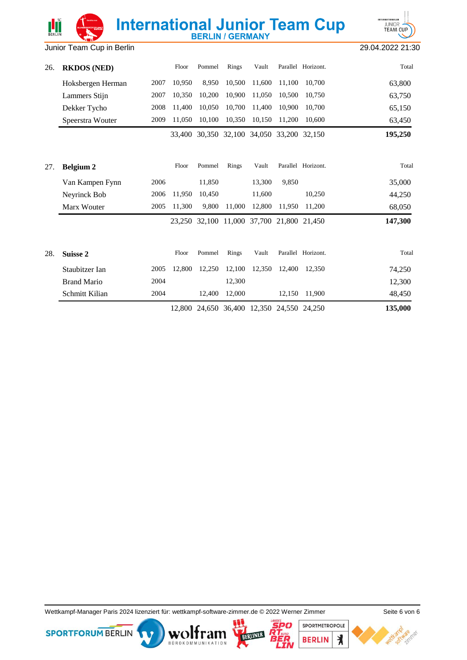**INTERNATIONALE** JUNIOR<sup>1</sup>

| 26. | <b>RKDOS (NED)</b> |      | Floor  | Pommel | Rings  | Vault                                     |        | Parallel Horizont. | Total   |
|-----|--------------------|------|--------|--------|--------|-------------------------------------------|--------|--------------------|---------|
|     | Hoksbergen Herman  | 2007 | 10,950 | 8,950  | 10,500 | 11,600                                    | 11,100 | 10,700             | 63,800  |
|     | Lammers Stijn      | 2007 | 10.350 | 10,200 | 10,900 | 11,050                                    | 10.500 | 10,750             | 63,750  |
|     | Dekker Tycho       | 2008 | 11,400 | 10,050 | 10,700 | 11,400                                    | 10,900 | 10,700             | 65,150  |
|     | Speerstra Wouter   | 2009 | 11,050 | 10,100 | 10,350 | 10,150                                    | 11,200 | 10,600             | 63,450  |
|     |                    |      |        |        |        | 33,400 30,350 32,100 34,050 33,200 32,150 |        |                    | 195,250 |
| 27. | <b>Belgium 2</b>   |      | Floor  | Pommel | Rings  | Vault                                     |        | Parallel Horizont. | Total   |
|     | Van Kampen Fynn    | 2006 |        | 11,850 |        | 13,300                                    | 9.850  |                    | 35,000  |
|     | Neyrinck Bob       | 2006 | 11,950 | 10,450 |        | 11,600                                    |        | 10,250             | 44,250  |
|     | Marx Wouter        | 2005 | 11,300 | 9,800  | 11,000 | 12,800                                    | 11,950 | 11,200             | 68,050  |
|     |                    |      |        |        |        | 23,250 32,100 11,000 37,700 21,800 21,450 |        |                    | 147,300 |
| 28. | Suisse 2           |      | Floor  | Pommel | Rings  | Vault                                     |        | Parallel Horizont. | Total   |
|     | Staubitzer Ian     | 2005 | 12,800 | 12,250 | 12,100 | 12,350                                    | 12,400 | 12,350             | 74,250  |
|     | <b>Brand Mario</b> | 2004 |        |        | 12,300 |                                           |        |                    | 12,300  |
|     | Schmitt Kilian     | 2004 |        | 12,400 | 12,000 |                                           | 12,150 | 11,900             | 48,450  |
|     |                    |      | 12,800 |        |        | 24,650 36,400 12,350 24,550 24,250        |        |                    | 135,000 |

Wettkampf-Manager Paris 2024 lizenziert für: wettkampf-software-zimmer.de © 2022 Werner Zimmer Seite 6 von 6

**SPORTFORUM BERLIN** 







l e To

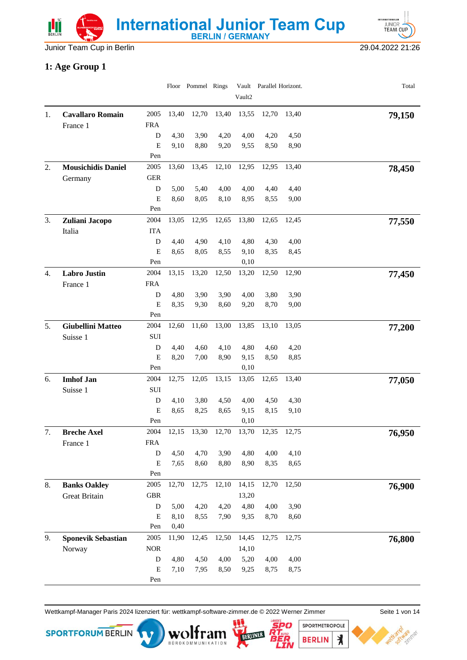Junior Team Cup in Berlin 29.04.2022 21:26

**INTERNATIONALE** JUNIOR<sup>1</sup>

#### **1: Age Group 1**

|                  |                                     |                    |              | Floor Pommel Rings |              | Vault2       | Vault Parallel Horizont. |              | Total  |
|------------------|-------------------------------------|--------------------|--------------|--------------------|--------------|--------------|--------------------------|--------------|--------|
|                  |                                     | 2005               | 13,40        | 12,70              | 13,40        | 13,55        | 12,70                    | 13,40        |        |
| 1.               | <b>Cavallaro Romain</b><br>France 1 | <b>FRA</b>         |              |                    |              |              |                          |              | 79,150 |
|                  |                                     | D                  | 4,30         | 3,90               | 4,20         | 4,00         | 4,20                     | 4,50         |        |
|                  |                                     | E                  | 9,10         | 8,80               | 9,20         | 9,55         | 8,50                     | 8,90         |        |
|                  |                                     | Pen                |              |                    |              |              |                          |              |        |
| 2.               | <b>Mousichidis Daniel</b>           | 2005               | 13,60        | 13,45              | 12,10        | 12,95        | 12,95                    | 13,40        | 78,450 |
|                  | Germany                             | <b>GER</b>         |              |                    |              |              |                          |              |        |
|                  |                                     | D                  | 5,00         | 5,40               | 4,00         | 4,00         | 4,40                     | 4,40         |        |
|                  |                                     | E                  | 8,60         | 8,05               | 8,10         | 8,95         | 8,55                     | 9,00         |        |
| 3.               |                                     | Pen<br>2004        | 13,05        | 12,95              | 12,65        | 13,80        | 12,65                    | 12,45        |        |
|                  | Zuliani Jacopo<br>Italia            | <b>ITA</b>         |              |                    |              |              |                          |              | 77,550 |
|                  |                                     | $\mathbf D$        | 4,40         | 4,90               | 4,10         | 4,80         | 4,30                     | 4,00         |        |
|                  |                                     | $\mathbf E$        | 8,65         | 8,05               | 8,55         | 9,10         | 8,35                     | 8,45         |        |
|                  |                                     | Pen                |              |                    |              | 0,10         |                          |              |        |
| $\overline{4}$ . | <b>Labro Justin</b>                 | 2004               | 13,15        | 13,20              | 12,50        | 13,20        | 12,50                    | 12,90        | 77,450 |
|                  | France 1                            | <b>FRA</b>         |              |                    |              |              |                          |              |        |
|                  |                                     | D                  | 4,80         | 3,90               | 3,90         | 4,00         | 3,80                     | 3,90         |        |
|                  |                                     | ${\bf E}$          | 8,35         | 9,30               | 8,60         | 9,20         | 8,70                     | 9,00         |        |
|                  |                                     | Pen                |              |                    |              |              |                          |              |        |
| 5.               | Giubellini Matteo                   | 2004               | 12,60        | 11,60              | 13,00        | 13,85        | 13,10                    | 13,05        | 77,200 |
|                  | Suisse 1                            | ${\bf SUI}$        |              |                    |              |              |                          |              |        |
|                  |                                     | D<br>E             | 4,40<br>8,20 | 4,60<br>7,00       | 4,10<br>8,90 | 4,80<br>9,15 | 4,60<br>8,50             | 4,20<br>8,85 |        |
|                  |                                     | Pen                |              |                    |              | 0,10         |                          |              |        |
| 6.               | <b>Imhof Jan</b>                    | 2004               | 12,75        | 12,05              | 13,15        | 13,05        | 12,65                    | 13,40        | 77,050 |
|                  | Suisse 1                            | $\rm SUI$          |              |                    |              |              |                          |              |        |
|                  |                                     | D                  | 4,10         | 3,80               | 4,50         | 4,00         | 4,50                     | 4,30         |        |
|                  |                                     | E                  | 8,65         | 8,25               | 8,65         | 9,15         | 8,15                     | 9,10         |        |
|                  |                                     | Pen                |              |                    |              | 0,10         |                          |              |        |
| 7.               | <b>Breche Axel</b>                  | 2004               | 12,15        | 13,30              | 12,70        | 13,70        | 12,35                    | 12,75        | 76,950 |
|                  | France 1                            | <b>FRA</b>         |              |                    |              |              |                          |              |        |
|                  |                                     | ${\bf D}$          | 4,50         | 4,70               | 3,90         | 4,80         | 4,00                     | 4,10         |        |
|                  |                                     | $\mathbf E$<br>Pen | 7,65         | 8,60               | 8,80         | 8,90         | 8,35                     | 8,65         |        |
| 8.               | <b>Banks Oakley</b>                 | 2005               | 12,70        | 12,75              | 12,10        | 14,15        | 12,70                    | 12,50        |        |
|                  | <b>Great Britain</b>                | <b>GBR</b>         |              |                    |              | 13,20        |                          |              | 76,900 |
|                  |                                     | D                  | 5,00         | 4,20               | 4,20         | 4,80         | 4,00                     | 3,90         |        |
|                  |                                     | ${\bf E}$          | 8,10         | 8,55               | 7,90         | 9,35         | 8,70                     | 8,60         |        |
|                  |                                     | Pen                | 0,40         |                    |              |              |                          |              |        |
| 9.               | <b>Sponevik Sebastian</b>           | 2005               | 11,90        | 12,45              | 12,50        | 14,45        | 12,75                    | 12,75        | 76,800 |
|                  | Norway                              | $\rm{NOR}$         |              |                    |              | 14,10        |                          |              |        |
|                  |                                     | D                  | 4,80         | 4,50               | 4,00         | 5,20         | 4,00                     | 4,00         |        |
|                  |                                     | E                  | 7,10         | 7,95               | 8,50         | 9,25         | 8,75                     | 8,75         |        |
|                  |                                     | Pen                |              |                    |              |              |                          |              |        |

Wettkampf-Manager Paris 2024 lizenziert für: wettkampf-software-zimmer.de © 2022 Werner Zimmer Seite 1 von 14





SPORTMETROPOLE

**BERLIN**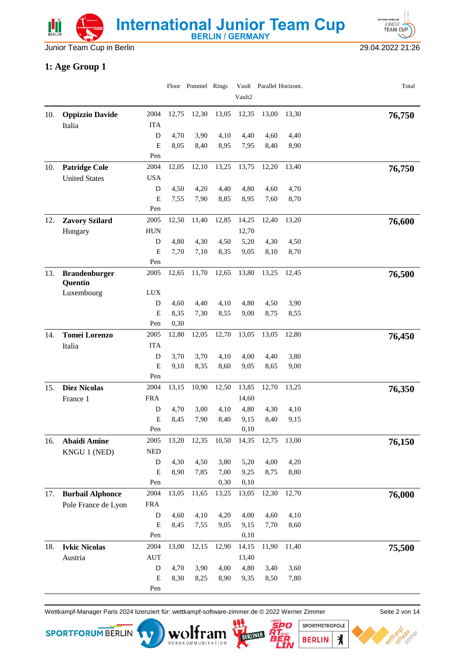Junior Team Cup in Berlin 29.04.2022 21:26

**INTERNATIONALE** JUNIOR<sup>1</sup>

#### **1: Age Group 1**

|     |                                 |             |              | Floor Pommel Rings |              | Vault2       | Vault Parallel Horizont. |              | Total  |
|-----|---------------------------------|-------------|--------------|--------------------|--------------|--------------|--------------------------|--------------|--------|
| 10. | <b>Oppizzio Davide</b>          | 2004        | 12,75        | 12,30              | 13,05        | 12,35        | 13,00                    | 13,30        |        |
|     | Italia                          | <b>ITA</b>  |              |                    |              |              |                          |              | 76,750 |
|     |                                 | ${\bf D}$   | 4,70         | 3,90               | 4,10         | 4,40         | 4,60                     | 4,40         |        |
|     |                                 | E           | 8,05         | 8,40               | 8,95         | 7,95         | 8,40                     | 8,90         |        |
|     |                                 | Pen         |              |                    |              |              |                          |              |        |
| 10. | <b>Patridge Cole</b>            | 2004        | 12,05        | 12,10              | 13,25        | 13,75        | 12,20                    | 13,40        | 76,750 |
|     | <b>United States</b>            | <b>USA</b>  |              |                    |              |              |                          |              |        |
|     |                                 | D           | 4,50         | 4,20               | 4,40         | 4,80         | 4,60                     | 4,70         |        |
|     |                                 | E           | 7,55         | 7,90               | 8,85         | 8,95         | 7,60                     | 8,70         |        |
|     |                                 | Pen         |              |                    |              |              |                          |              |        |
| 12. | <b>Zavory Szilard</b>           | 2005        | 12,50        | 11,40              | 12,85        | 14,25        | 12,40                    | 13,20        | 76,600 |
|     | Hungary                         | <b>HUN</b>  |              |                    |              | 12,70        |                          |              |        |
|     |                                 | D           | 4,80         | 4,30               | 4,50         | 5,20         | 4,30                     | 4,50         |        |
|     |                                 | $\mathbf E$ | 7,70         | 7,10               | 8,35         | 9,05         | 8,10                     | 8,70         |        |
|     |                                 | Pen         |              |                    |              |              |                          |              |        |
| 13. | <b>Brandenburger</b><br>Quentin | 2005        | 12,65        | 11,70              | 12,65        | 13,80        | 13,25                    | 12,45        | 76,500 |
|     | Luxembourg                      | <b>LUX</b>  |              |                    |              |              |                          |              |        |
|     |                                 | D           | 4,60         | 4,40               | 4,10         | 4,80         | 4,50                     | 3,90         |        |
|     |                                 | ${\bf E}$   | 8,35         | 7,30               | 8,55         | 9,00         | 8,75                     | 8,55         |        |
|     |                                 | Pen         | 0,30         |                    |              |              |                          |              |        |
| 14. | <b>Tomei Lorenzo</b>            | 2005        | 12,80        | 12,05              | 12,70        | 13,05        | 13,05                    | 12,80        | 76,450 |
|     | Italia                          | <b>ITA</b>  |              |                    |              |              |                          |              |        |
|     |                                 | D           | 3,70         | 3,70               | 4,10         | 4,00         | 4,40                     | 3,80         |        |
|     |                                 | E           | 9,10         | 8,35               | 8,60         | 9,05         | 8,65                     | 9,00         |        |
|     |                                 | Pen         |              |                    |              |              |                          |              |        |
| 15. | <b>Diez Nicolas</b>             | 2004        | 13,15        | 10,90              | 12,50        | 13,85        | 12,70                    | 13,25        | 76,350 |
|     | France 1                        | <b>FRA</b>  |              |                    |              | 14,60        |                          |              |        |
|     |                                 | D<br>E      | 4,70<br>8,45 | 3,00<br>7,90       | 4,10<br>8,40 | 4,80<br>9,15 | 4,30<br>8,40             | 4,10<br>9,15 |        |
|     |                                 | Pen         |              |                    |              | 0,10         |                          |              |        |
| 16. | <b>Abaidi Amine</b>             | 2005        | 13,20        | 12,35              | 10,50        | 14,35        | 12,75                    | 13,00        |        |
|     | KNGU 1 (NED)                    | $\rm{NED}$  |              |                    |              |              |                          |              | 76,150 |
|     |                                 | D           | 4,30         | 4,50               | 3,80         | 5,20         | 4,00                     | 4,20         |        |
|     |                                 | E           | 8,90         | 7,85               | 7,00         | 9,25         | 8,75                     | 8,80         |        |
|     |                                 | Pen         |              |                    | 0,30         | 0,10         |                          |              |        |
| 17. | <b>Burbail Alphonce</b>         | 2004        | 13,05        | 11,65              | 13,25        | 13,05        | 12,30                    | 12,70        | 76,000 |
|     | Pole France de Lyon             | <b>FRA</b>  |              |                    |              |              |                          |              |        |
|     |                                 | D           | 4,60         | 4,10               | 4,20         | 4,00         | 4,60                     | 4,10         |        |
|     |                                 | E           | 8,45         | 7,55               | 9,05         | 9,15         | 7,70                     | 8,60         |        |
|     |                                 | Pen         |              |                    |              | 0,10         |                          |              |        |
| 18. | <b>Ivkic Nicolas</b>            | 2004        | 13,00        | 12,15              | 12,90        | 14,15        | 11,90                    | 11,40        | 75,500 |
|     | Austria                         | <b>AUT</b>  |              |                    |              | 13,40        |                          |              |        |
|     |                                 | D           | 4,70         | 3,90               | 4,00         | 4,80         | 3,40                     | 3,60         |        |
|     |                                 | E           | 8,30         | 8,25               | 8,90         | 9,35         | 8,50                     | 7,80         |        |
|     |                                 | Pen         |              |                    |              |              |                          |              |        |

Wettkampf-Manager Paris 2024 lizenziert für: wettkampf-software-zimmer.de © 2022 Werner Zimmer Seite 2 von 14

BÜROKOMMUNIKATION



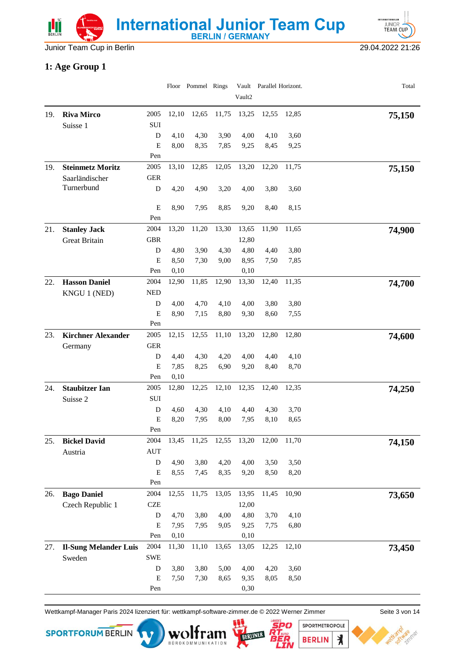



### **1: Age Group 1**

|     |                              |             |              | Floor Pommel Rings |              | Vault2       | Vault Parallel Horizont. |              | Total  |
|-----|------------------------------|-------------|--------------|--------------------|--------------|--------------|--------------------------|--------------|--------|
|     |                              |             |              |                    |              |              |                          |              |        |
| 19. | <b>Riva Mirco</b>            | 2005        | 12,10        | 12,65              | 11,75        | 13,25        | 12,55                    | 12,85        | 75,150 |
|     | Suisse 1                     | SUI         |              |                    |              |              |                          |              |        |
|     |                              | D           | 4,10         | 4,30               | 3,90         | 4,00         | 4,10                     | 3,60         |        |
|     |                              | E           | 8,00         | 8,35               | 7,85         | 9,25         | 8,45                     | 9,25         |        |
|     |                              | Pen         |              |                    |              |              |                          |              |        |
| 19. | <b>Steinmetz Moritz</b>      | 2005        | 13,10        | 12,85              | 12,05        | 13,20        | 12,20                    | 11,75        | 75,150 |
|     | Saarländischer<br>Turnerbund | <b>GER</b>  |              |                    | 3,20         |              |                          |              |        |
|     |                              | D           | 4,20         | 4,90               |              | 4,00         | 3,80                     | 3,60         |        |
|     |                              | E           | 8,90         | 7,95               | 8,85         | 9,20         | 8,40                     | 8,15         |        |
|     |                              | Pen         |              |                    |              |              |                          |              |        |
| 21. | <b>Stanley Jack</b>          | 2004        | 13,20        | 11,20              | 13,30        | 13,65        | 11,90                    | 11,65        | 74,900 |
|     | <b>Great Britain</b>         | <b>GBR</b>  |              |                    |              | 12,80        |                          |              |        |
|     |                              | D           | 4,80         | 3,90               | 4,30         | 4,80         | 4,40                     | 3,80         |        |
|     |                              | E           | 8,50         | 7,30               | 9,00         | 8,95         | 7,50                     | 7,85         |        |
|     |                              | Pen         | 0,10         |                    |              | 0,10         |                          |              |        |
| 22. | <b>Hasson Daniel</b>         | 2004        | 12,90        | 11,85              | 12,90        | 13,30        | 12,40                    | 11,35        | 74,700 |
|     | KNGU 1 (NED)                 | <b>NED</b>  |              |                    |              |              |                          |              |        |
|     |                              | D           | 4,00         | 4,70               | 4,10         | 4,00         | 3,80                     | 3,80         |        |
|     |                              | E           | 8,90         | 7,15               | 8,80         | 9,30         | 8,60                     | 7,55         |        |
|     |                              | Pen         |              |                    |              |              |                          |              |        |
| 23. | <b>Kirchner Alexander</b>    | 2005        | 12,15        | 12,55              | 11,10        | 13,20        | 12,80                    | 12,80        | 74,600 |
|     | Germany                      | <b>GER</b>  |              |                    |              |              |                          |              |        |
|     |                              | D           | 4,40         | 4,30               | 4,20         | 4,00         | 4,40                     | 4,10         |        |
|     |                              | E           | 7,85<br>0,10 | 8,25               | 6,90         | 9,20         | 8,40                     | 8,70         |        |
|     |                              | Pen<br>2005 |              |                    |              |              |                          |              |        |
| 24. | <b>Staubitzer Ian</b>        |             | 12,80        | 12,25              | 12,10        | 12,35        | 12,40                    | 12,35        | 74,250 |
|     | Suisse 2                     | SUI         |              |                    |              |              |                          |              |        |
|     |                              | D<br>E      | 4,60<br>8,20 | 4,30<br>7,95       | 4,10<br>8,00 | 4,40<br>7,95 | 4,30<br>8,10             | 3,70<br>8,65 |        |
|     |                              | Pen         |              |                    |              |              |                          |              |        |
| 25. | <b>Bickel David</b>          | 2004        | 13,45        | 11,25              | 12,55        | 13,20        | 12,00                    | 11,70        | 74,150 |
|     | Austria                      | <b>AUT</b>  |              |                    |              |              |                          |              |        |
|     |                              | ${\bf D}$   | 4,90         | 3,80               | 4,20         | 4,00         | 3,50                     | 3,50         |        |
|     |                              | E           | 8,55         | 7,45               | 8,35         | 9,20         | 8,50                     | 8,20         |        |
|     |                              | Pen         |              |                    |              |              |                          |              |        |
| 26. | <b>Bago Daniel</b>           | 2004        | 12,55        | 11,75              | 13,05        | 13,95        | 11,45                    | 10,90        | 73,650 |
|     | Czech Republic 1             | <b>CZE</b>  |              |                    |              | 12,00        |                          |              |        |
|     |                              | ${\bf D}$   | 4,70         | 3,80               | 4,00         | 4,80         | 3,70                     | 4,10         |        |
|     |                              | ${\bf E}$   | 7,95         | 7,95               | 9,05         | 9,25         | 7,75                     | 6,80         |        |
|     |                              | Pen         | 0,10         |                    |              | 0,10         |                          |              |        |
| 27. | <b>Il-Sung Melander Luis</b> | 2004        | 11,30        | 11,10              | 13,65        | 13,05        | 12,25                    | 12,10        | 73,450 |
|     | Sweden                       | <b>SWE</b>  |              |                    |              |              |                          |              |        |
|     |                              | ${\bf D}$   | 3,80         | 3,80               | 5,00         | 4,00         | 4,20                     | 3,60         |        |
|     |                              | E           | 7,50         | 7,30               | 8,65         | 9,35         | 8,05                     | 8,50         |        |
|     |                              | Pen         |              |                    |              | 0,30         |                          |              |        |

Wettkampf-Manager Paris 2024 lizenziert für: wettkampf-software-zimmer.de © 2022 Werner Zimmer Seite 3 von 14

BOROKOMMUNIKATION







 $\lambda$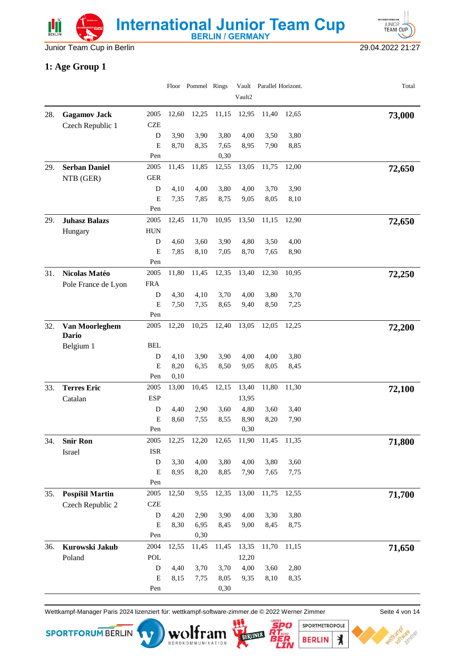Junior Team Cup in Berlin 29.04.2022 21:27

**INTERNATIONALE** JUNIOR<sup>1</sup>

#### **1: Age Group 1**

|     |                         |                    |              | Floor Pommel Rings |       | Vault2       | Vault Parallel Horizont. |              | Total  |
|-----|-------------------------|--------------------|--------------|--------------------|-------|--------------|--------------------------|--------------|--------|
|     |                         |                    |              |                    |       |              |                          |              |        |
| 28. | <b>Gagamov Jack</b>     | 2005               | 12,60        | 12,25              | 11,15 | 12,95        | 11,40                    | 12,65        | 73,000 |
|     | Czech Republic 1        | <b>CZE</b>         |              |                    |       |              |                          |              |        |
|     |                         | D                  | 3,90         | 3,90               | 3,80  | 4,00         | 3,50                     | 3,80         |        |
|     |                         | Е                  | 8,70         | 8,35               | 7,65  | 8,95         | 7,90                     | 8,85         |        |
|     |                         | Pen<br>2005        |              |                    | 0,30  |              |                          |              |        |
| 29. | <b>Serban Daniel</b>    |                    | 11,45        | 11,85              | 12,55 | 13,05        | 11,75                    | 12,00        | 72,650 |
|     | NTB (GER)               | <b>GER</b>         |              | 4,00               | 3,80  |              |                          |              |        |
|     |                         | D<br>E             | 4,10<br>7,35 | 7,85               | 8,75  | 4,00<br>9,05 | 3,70<br>8,05             | 3,90<br>8,10 |        |
|     |                         | Pen                |              |                    |       |              |                          |              |        |
| 29. | <b>Juhasz Balazs</b>    | 2005               | 12,45        | 11,70              | 10,95 | 13,50        | 11,15                    | 12,90        | 72,650 |
|     | Hungary                 | <b>HUN</b>         |              |                    |       |              |                          |              |        |
|     |                         | D                  | 4,60         | 3,60               | 3,90  | 4,80         | 3,50                     | 4,00         |        |
|     |                         | E                  | 7,85         | 8,10               | 7,05  | 8,70         | 7,65                     | 8,90         |        |
|     |                         | Pen                |              |                    |       |              |                          |              |        |
| 31. | Nicolas Matéo           | 2005               | 11,80        | 11,45              | 12,35 | 13,40        | 12,30                    | 10,95        | 72,250 |
|     | Pole France de Lyon     | <b>FRA</b>         |              |                    |       |              |                          |              |        |
|     |                         | D                  | 4,30         | 4,10               | 3,70  | 4,00         | 3,80                     | 3,70         |        |
|     |                         | E                  | 7,50         | 7,35               | 8,65  | 9,40         | 8,50                     | 7,25         |        |
|     |                         | Pen                |              |                    |       |              |                          |              |        |
| 32. | Van Moorleghem<br>Dario | 2005               | 12,20        | 10,25              | 12,40 | 13,05        | 12,05                    | 12,25        | 72,200 |
|     | Belgium 1               | <b>BEL</b>         |              |                    |       |              |                          |              |        |
|     |                         | D                  | 4,10         | 3,90               | 3,90  | 4,00         | 4,00                     | 3,80         |        |
|     |                         | E                  | 8,20         | 6,35               | 8,50  | 9,05         | 8,05                     | 8,45         |        |
|     |                         | Pen                | 0,10         |                    |       |              |                          |              |        |
| 33. | <b>Terres Eric</b>      | 2005               | 13,00        | 10,45              | 12,15 | 13,40        | 11,80                    | 11,30        | 72,100 |
|     | Catalan                 | <b>ESP</b>         |              |                    |       | 13,95        |                          |              |        |
|     |                         | D                  | 4,40         | 2,90               | 3,60  | 4,80         | 3,60                     | 3,40         |        |
|     |                         | E                  | 8,60         | 7,55               | 8,55  | 8,90         | 8,20                     | 7,90         |        |
|     |                         | Pen                |              |                    |       | 0,30         |                          |              |        |
| 34. | <b>Snir Ron</b>         | 2005<br><b>ISR</b> | 12,25        | 12,20              | 12,65 | 11,90        | 11,45                    | 11,35        | 71,800 |
|     | Israel                  | ${\rm D}$          |              |                    | 3,80  |              |                          |              |        |
|     |                         | E                  | 3,30<br>8,95 | 4,00<br>8,20       | 8,85  | 4,00<br>7,90 | 3,80<br>7,65             | 3,60<br>7,75 |        |
|     |                         | Pen                |              |                    |       |              |                          |              |        |
| 35. | Pospíšil Martin         | 2005               | 12,50        | 9,55               | 12,35 | 13,00        | 11,75                    | 12,55        | 71,700 |
|     | Czech Republic 2        | <b>CZE</b>         |              |                    |       |              |                          |              |        |
|     |                         | ${\bf D}$          | 4,20         | 2,90               | 3,90  | 4,00         | 3,30                     | 3,80         |        |
|     |                         | ${\bf E}$          | 8,30         | 6,95               | 8,45  | 9,00         | 8,45                     | 8,75         |        |
|     |                         | Pen                |              | 0,30               |       |              |                          |              |        |
| 36. | Kurowski Jakub          | 2004               | 12,55        | 11,45              | 11,45 | 13,35        | 11,70                    | 11,15        | 71,650 |
|     | Poland                  | POL                |              |                    |       | 12,20        |                          |              |        |
|     |                         | D                  | 4,40         | 3,70               | 3,70  | 4,00         | 3,60                     | 2,80         |        |
|     |                         | Е                  | 8,15         | 7,75               | 8,05  | 9,35         | 8,10                     | 8,35         |        |
|     |                         | Pen                |              |                    | 0,30  |              |                          |              |        |

Wettkampf-Manager Paris 2024 lizenziert für: wettkampf-software-zimmer.de © 2022 Werner Zimmer Seite 4 von 14

BOROKOMMUNIKATION





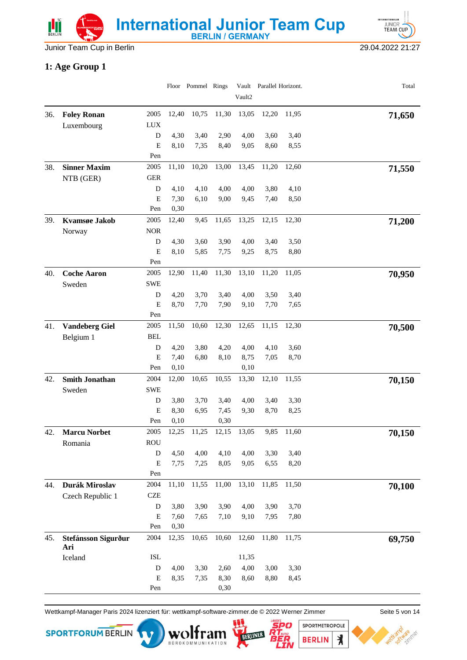



### **1: Age Group 1**

|     |                       |                |              | Floor Pommel Rings |       | Vault2 | Vault Parallel Horizont. |       | Total  |
|-----|-----------------------|----------------|--------------|--------------------|-------|--------|--------------------------|-------|--------|
|     |                       |                |              |                    |       |        |                          |       |        |
| 36. | <b>Foley Ronan</b>    | 2005           | 12,40        | 10,75              | 11,30 | 13,05  | 12,20                    | 11,95 | 71,650 |
|     | Luxembourg            | <b>LUX</b>     |              |                    |       |        |                          |       |        |
|     |                       | D              | 4,30         | 3,40               | 2,90  | 4,00   | 3,60                     | 3,40  |        |
|     |                       | E              | 8,10         | 7,35               | 8,40  | 9,05   | 8,60                     | 8,55  |        |
|     |                       | Pen            |              |                    |       |        |                          |       |        |
| 38. | <b>Sinner Maxim</b>   | 2005           | 11,10        | 10,20              | 13,00 | 13,45  | 11,20                    | 12,60 | 71,550 |
|     | NTB (GER)             | <b>GER</b>     |              |                    |       |        |                          |       |        |
|     |                       | D              | 4,10         | 4,10               | 4,00  | 4,00   | 3,80                     | 4,10  |        |
|     |                       | E<br>Pen       | 7,30<br>0,30 | 6,10               | 9,00  | 9,45   | 7,40                     | 8,50  |        |
|     |                       | 2005           | 12,40        | 9,45               | 11,65 | 13,25  | 12,15                    | 12,30 |        |
| 39. | Kvamsøe Jakob         | <b>NOR</b>     |              |                    |       |        |                          |       | 71,200 |
|     | Norway                | D              | 4,30         | 3,60               | 3,90  | 4,00   | 3,40                     | 3,50  |        |
|     |                       | E              | 8,10         | 5,85               | 7,75  | 9,25   | 8,75                     | 8,80  |        |
|     |                       | Pen            |              |                    |       |        |                          |       |        |
| 40. | <b>Coche Aaron</b>    | 2005           | 12,90        | 11,40              | 11,30 | 13,10  | 11,20                    | 11,05 | 70,950 |
|     | Sweden                | <b>SWE</b>     |              |                    |       |        |                          |       |        |
|     |                       | D              | 4,20         | 3,70               | 3,40  | 4,00   | 3,50                     | 3,40  |        |
|     |                       | E              | 8,70         | 7,70               | 7,90  | 9,10   | 7,70                     | 7,65  |        |
|     |                       | Pen            |              |                    |       |        |                          |       |        |
| 41. | <b>Vandeberg Giel</b> | 2005           | 11,50        | 10,60              | 12,30 | 12,65  | 11,15                    | 12,30 | 70,500 |
|     | Belgium 1             | <b>BEL</b>     |              |                    |       |        |                          |       |        |
|     |                       | D              | 4,20         | 3,80               | 4,20  | 4,00   | 4,10                     | 3,60  |        |
|     |                       | ${\bf E}$      | 7,40         | 6,80               | 8,10  | 8,75   | 7,05                     | 8,70  |        |
|     |                       | Pen            | 0,10         |                    |       | 0,10   |                          |       |        |
| 42. | <b>Smith Jonathan</b> | 2004           | 12,00        | 10,65              | 10,55 | 13,30  | 12,10                    | 11,55 | 70,150 |
|     | Sweden                | <b>SWE</b>     |              |                    |       |        |                          |       |        |
|     |                       | D              | 3,80         | 3,70               | 3,40  | 4,00   | 3,40                     | 3,30  |        |
|     |                       | E              | 8,30         | 6,95               | 7,45  | 9,30   | 8,70                     | 8,25  |        |
|     |                       | Pen            | 0,10         |                    | 0,30  |        |                          |       |        |
| 42. | <b>Marcu Norbet</b>   | 2005           | 12,25        | 11,25              | 12,15 | 13,05  | 9,85                     | 11,60 | 70,150 |
|     | Romania               | <b>ROU</b>     |              |                    |       |        |                          |       |        |
|     |                       | ${\rm D}$      | 4,50         | 4,00               | 4,10  | 4,00   | 3,30                     | 3,40  |        |
|     |                       | E              | 7,75         | 7,25               | 8,05  | 9,05   | 6,55                     | 8,20  |        |
|     |                       | Pen            |              |                    |       |        |                          |       |        |
| 44. | Durák Miroslav        | 2004           | 11,10        | 11,55              | 11,00 | 13,10  | 11,85                    | 11,50 | 70,100 |
|     | Czech Republic 1      | <b>CZE</b>     |              |                    |       |        |                          |       |        |
|     |                       | D<br>${\bf E}$ | 3,80         | 3,90               | 3,90  | 4,00   | 3,90                     | 3,70  |        |
|     |                       | Pen            | 7,60<br>0,30 | 7,65               | 7,10  | 9,10   | 7,95                     | 7,80  |        |
| 45. | Stefánsson Sigurður   | 2004           | 12,35        | 10,65              | 10,60 | 12,60  | 11,80                    | 11,75 |        |
|     | Ari                   |                |              |                    |       |        |                          |       | 69,750 |
|     | Iceland               | <b>ISL</b>     |              |                    |       | 11,35  |                          |       |        |
|     |                       | D              | 4,00         | 3,30               | 2,60  | 4,00   | 3,00                     | 3,30  |        |
|     |                       | E              | 8,35         | 7,35               | 8,30  | 8,60   | 8,80                     | 8,45  |        |
|     |                       | Pen            |              |                    | 0,30  |        |                          |       |        |

Wettkampf-Manager Paris 2024 lizenziert für: wettkampf-software-zimmer.de © 2022 Werner Zimmer Seite 5 von 14

BÜROKOMMUNIKATION







 $\lambda$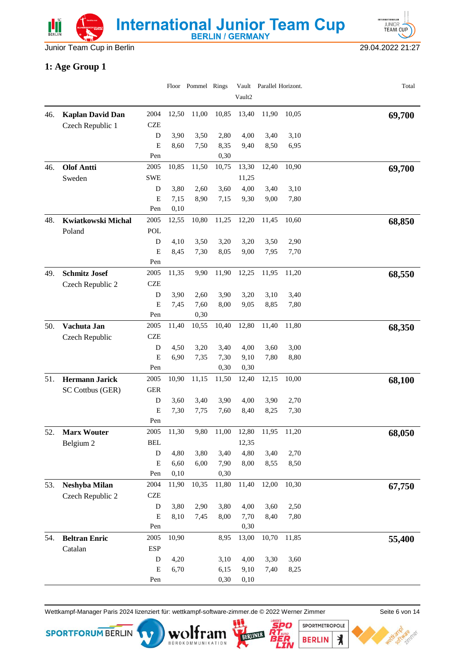Junior Team Cup in Berlin 29.04.2022 21:27

**INTERNATIONALE** JUNIOR<sup>1</sup>

#### **1: Age Group 1**

|     |                              |                    |              | Floor Pommel Rings |              | Vault2       | Vault Parallel Horizont. |              | Total  |
|-----|------------------------------|--------------------|--------------|--------------------|--------------|--------------|--------------------------|--------------|--------|
| 46. | <b>Kaplan David Dan</b>      | 2004               | 12,50        | 11,00              | 10,85        | 13,40        | 11,90                    | 10,05        | 69,700 |
|     | Czech Republic 1             | <b>CZE</b>         |              |                    |              |              |                          |              |        |
|     |                              | D                  | 3,90         | 3,50               | 2,80         | 4,00         | 3,40                     | 3,10         |        |
|     |                              | E                  | 8,60         | 7,50               | 8,35         | 9,40         | 8,50                     | 6,95         |        |
|     |                              | Pen                |              |                    | 0,30         |              |                          |              |        |
| 46. | <b>Olof Antti</b>            | 2005               | 10,85        | 11,50              | 10,75        | 13,30        | 12,40                    | 10,90        | 69,700 |
|     | Sweden                       | <b>SWE</b>         |              |                    |              | 11,25        |                          |              |        |
|     |                              | D                  | 3,80         | 2,60               | 3,60         | 4,00         | 3,40                     | 3,10         |        |
|     |                              | E                  | 7,15         | 8,90               | 7,15         | 9,30         | 9,00                     | 7,80         |        |
|     |                              | Pen                | 0,10         |                    |              |              |                          |              |        |
| 48. | Kwiatkowski Michal<br>Poland | 2005<br><b>POL</b> | 12,55        | 10,80              | 11,25        | 12,20        | 11,45                    | 10,60        | 68,850 |
|     |                              | D                  | 4,10         | 3,50               | 3,20         | 3,20         | 3,50                     | 2,90         |        |
|     |                              | E                  | 8,45         | 7,30               | 8,05         | 9,00         | 7,95                     | 7,70         |        |
|     |                              | Pen                |              |                    |              |              |                          |              |        |
| 49. | <b>Schmitz Josef</b>         | 2005               | 11,35        | 9,90               | 11,90        | 12,25        | 11,95                    | 11,20        | 68,550 |
|     | Czech Republic 2             | <b>CZE</b>         |              |                    |              |              |                          |              |        |
|     |                              | D                  | 3,90         | 2,60               | 3,90         | 3,20         | 3,10                     | 3,40         |        |
|     |                              | E                  | 7,45         | 7,60               | 8,00         | 9,05         | 8,85                     | 7,80         |        |
|     |                              | Pen                |              | 0,30               |              |              |                          |              |        |
| 50. | Vachuta Jan                  | 2005               | 11,40        | 10,55              | 10,40        | 12,80        | 11,40                    | 11,80        | 68,350 |
|     | Czech Republic               | <b>CZE</b>         |              |                    |              |              |                          |              |        |
|     |                              | D                  | 4,50         | 3,20               | 3,40         | 4,00         | 3,60                     | 3,00         |        |
|     |                              | E                  | 6,90         | 7,35               | 7,30         | 9,10         | 7,80                     | 8,80         |        |
|     |                              | Pen                |              |                    | 0,30         | 0,30         |                          |              |        |
| 51. | <b>Hermann Jarick</b>        | 2005               | 10,90        | 11,15              | 11,50        | 12,40        | 12,15                    | 10,00        | 68,100 |
|     | SC Cottbus (GER)             | <b>GER</b>         |              |                    |              |              |                          |              |        |
|     |                              | D<br>E             | 3,60<br>7,30 | 3,40<br>7,75       | 3,90<br>7,60 | 4,00<br>8,40 | 3,90<br>8,25             | 2,70<br>7,30 |        |
|     |                              | Pen                |              |                    |              |              |                          |              |        |
| 52. | <b>Marx Wouter</b>           | 2005               | 11,30        | 9,80               | 11,00        | 12,80        | 11,95                    | 11,20        | 68,050 |
|     | Belgium 2                    | <b>BEL</b>         |              |                    |              | 12,35        |                          |              |        |
|     |                              | ${\rm D}$          | 4,80         | 3,80               | 3,40         | 4,80         | 3,40                     | 2,70         |        |
|     |                              | E                  | 6,60         | 6,00               | 7,90         | 8,00         | 8,55                     | 8,50         |        |
|     |                              | Pen                | 0,10         |                    | 0,30         |              |                          |              |        |
| 53. | Neshyba Milan                | 2004               | 11,90        | 10,35              | 11,80        | 11,40        | 12,00                    | 10,30        | 67,750 |
|     | Czech Republic 2             | <b>CZE</b>         |              |                    |              |              |                          |              |        |
|     |                              | ${\bf D}$          | 3,80         | 2,90               | 3,80         | 4,00         | 3,60                     | 2,50         |        |
|     |                              | ${\bf E}$<br>Pen   | 8,10         | 7,45               | 8,00         | 7,70<br>0,30 | 8,40                     | 7,80         |        |
| 54. | <b>Beltran Enric</b>         | 2005               | 10,90        |                    | 8,95         | 13,00        | 10,70                    | 11,85        | 55,400 |
|     | Catalan                      | <b>ESP</b>         |              |                    |              |              |                          |              |        |
|     |                              | D                  | 4,20         |                    | 3,10         | 4,00         | 3,30                     | 3,60         |        |
|     |                              | ${\bf E}$          | 6,70         |                    | 6,15         | 9,10         | 7,40                     | 8,25         |        |
|     |                              | Pen                |              |                    | 0,30         | 0,10         |                          |              |        |

Wettkampf-Manager Paris 2024 lizenziert für: wettkampf-software-zimmer.de © 2022 Werner Zimmer Seite 6 von 14



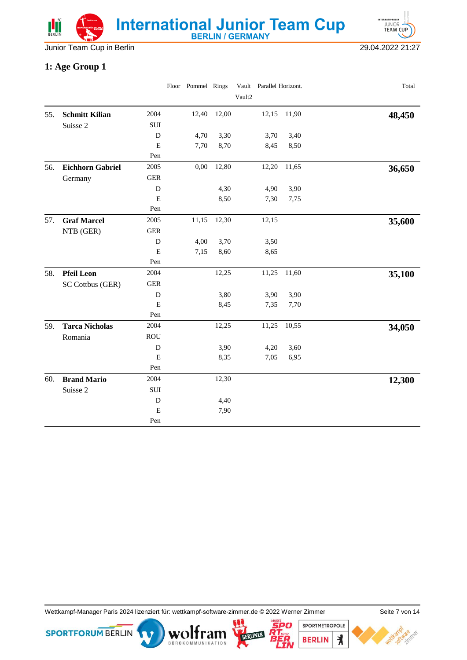



### **1: Age Group 1**

|     |                         |             | Floor Pommel Rings |       |        | Vault Parallel Horizont. |       | Total  |
|-----|-------------------------|-------------|--------------------|-------|--------|--------------------------|-------|--------|
|     |                         |             |                    |       | Vault2 |                          |       |        |
| 55. | <b>Schmitt Kilian</b>   | 2004        | 12,40              | 12,00 |        | 12,15                    | 11,90 | 48,450 |
|     | Suisse 2                | ${\bf SUI}$ |                    |       |        |                          |       |        |
|     |                         | $\mathbf D$ | 4,70               | 3,30  |        | 3,70                     | 3,40  |        |
|     |                         | E           | 7,70               | 8,70  |        | 8,45                     | 8,50  |        |
|     |                         | Pen         |                    |       |        |                          |       |        |
| 56. | <b>Eichhorn Gabriel</b> | 2005        | 0,00               | 12,80 |        | 12,20                    | 11,65 | 36,650 |
|     | Germany                 | ${\tt GER}$ |                    |       |        |                          |       |        |
|     |                         | D           |                    | 4,30  |        | 4,90                     | 3,90  |        |
|     |                         | E           |                    | 8,50  |        | 7,30                     | 7,75  |        |
|     |                         | Pen         |                    |       |        |                          |       |        |
| 57. | <b>Graf Marcel</b>      | 2005        | 11,15              | 12,30 |        | 12,15                    |       | 35,600 |
|     | NTB (GER)               | <b>GER</b>  |                    |       |        |                          |       |        |
|     |                         | ${\bf D}$   | 4,00               | 3,70  |        | 3,50                     |       |        |
|     |                         | $\mathbf E$ | 7,15               | 8,60  |        | 8,65                     |       |        |
|     |                         | Pen         |                    |       |        |                          |       |        |
| 58. | <b>Pfeil Leon</b>       | 2004        |                    | 12,25 |        | 11,25                    | 11,60 | 35,100 |
|     | SC Cottbus (GER)        | <b>GER</b>  |                    |       |        |                          |       |        |
|     |                         | ${\bf D}$   |                    | 3,80  |        | 3,90                     | 3,90  |        |
|     |                         | E           |                    | 8,45  |        | 7,35                     | 7,70  |        |
|     |                         | Pen         |                    |       |        |                          |       |        |
| 59. | <b>Tarca Nicholas</b>   | 2004        |                    | 12,25 |        | 11,25                    | 10,55 | 34,050 |
|     | Romania                 | <b>ROU</b>  |                    |       |        |                          |       |        |
|     |                         | $\mathbf D$ |                    | 3,90  |        | 4,20                     | 3,60  |        |
|     |                         | $\mathbf E$ |                    | 8,35  |        | 7,05                     | 6,95  |        |
|     |                         | Pen         |                    |       |        |                          |       |        |
| 60. | <b>Brand Mario</b>      | 2004        |                    | 12,30 |        |                          |       | 12,300 |
|     | Suisse 2                | ${\bf SUI}$ |                    |       |        |                          |       |        |
|     |                         | ${\bf D}$   |                    | 4,40  |        |                          |       |        |
|     |                         | $\mathbf E$ |                    | 7,90  |        |                          |       |        |
|     |                         | Pen         |                    |       |        |                          |       |        |

Wettkampf-Manager Paris 2024 lizenziert für: wettkampf-software-zimmer.de © 2022 Werner Zimmer Seite 7 von 14

BOROKOMMUNIKATION

**SPORTFORUM BERLIN** 



SPORTMETROPOLE

**BERLIN** 

 $\lambda$ 

'er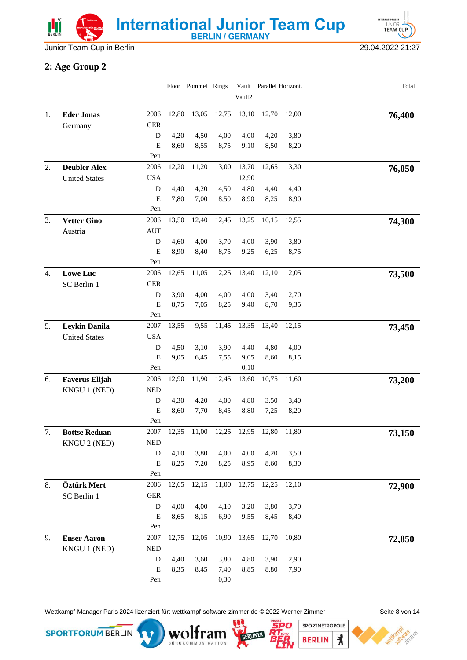



Junior Team Cup in Berlin 29.04.2022 21:27

### **2: Age Group 2**

|    |                                              |                  |              | Floor Pommel Rings |              | Vault2       | Vault Parallel Horizont. |              | Total  |
|----|----------------------------------------------|------------------|--------------|--------------------|--------------|--------------|--------------------------|--------------|--------|
|    |                                              |                  |              |                    |              |              |                          |              |        |
| 1. | <b>Eder Jonas</b>                            | 2006             | 12,80        | 13,05              | 12,75        | 13,10        | 12,70                    | 12,00        | 76,400 |
|    | Germany                                      | <b>GER</b>       |              |                    |              |              |                          |              |        |
|    |                                              | ${\bf D}$        | 4,20         | 4,50               | 4,00         | 4,00         | 4,20                     | 3,80         |        |
|    |                                              | E<br>Pen         | 8,60         | 8,55               | 8,75         | 9,10         | 8,50                     | 8,20         |        |
| 2. | <b>Deubler Alex</b>                          | 2006             | 12,20        | 11,20              | 13,00        | 13,70        | 12,65                    | 13,30        |        |
|    | <b>United States</b>                         | <b>USA</b>       |              |                    |              | 12,90        |                          |              | 76,050 |
|    |                                              | D                | 4,40         | 4,20               | 4,50         | 4,80         | 4,40                     | 4,40         |        |
|    |                                              | $\mathbf E$      | 7,80         | 7,00               | 8,50         | 8,90         | 8,25                     | 8,90         |        |
|    |                                              | Pen              |              |                    |              |              |                          |              |        |
| 3. | <b>Vetter Gino</b>                           | 2006             | 13,50        | 12,40              | 12,45        | 13,25        | 10,15                    | 12,55        | 74,300 |
|    | Austria                                      | <b>AUT</b>       |              |                    |              |              |                          |              |        |
|    |                                              | ${\bf D}$        | 4,60         | 4,00               | 3,70         | 4,00         | 3,90                     | 3,80         |        |
|    |                                              | $\mathbf E$      | 8,90         | 8,40               | 8,75         | 9,25         | 6,25                     | 8,75         |        |
|    |                                              | Pen              |              |                    |              |              |                          |              |        |
| 4. | <b>Löwe Luc</b>                              | 2006             | 12,65        | 11,05              | 12,25        | 13,40        | 12,10                    | 12,05        | 73,500 |
|    | SC Berlin 1                                  | <b>GER</b>       |              |                    |              |              |                          |              |        |
|    |                                              | D                | 3,90         | 4,00               | 4,00         | 4,00         | 3,40                     | 2,70         |        |
|    |                                              | ${\bf E}$<br>Pen | 8,75         | 7,05               | 8,25         | 9,40         | 8,70                     | 9,35         |        |
|    |                                              | 2007             | 13,55        | 9,55               | 11,45        | 13,35        | 13,40                    | 12,15        |        |
| 5. | <b>Leykin Danila</b><br><b>United States</b> | <b>USA</b>       |              |                    |              |              |                          |              | 73,450 |
|    |                                              | D                | 4,50         | 3,10               | 3,90         | 4,40         | 4,80                     | 4,00         |        |
|    |                                              | E                | 9,05         | 6,45               | 7,55         | 9,05         | 8,60                     | 8,15         |        |
|    |                                              | Pen              |              |                    |              | 0,10         |                          |              |        |
| 6. | <b>Faverus Elijah</b>                        | 2006             | 12,90        | 11,90              | 12,45        | 13,60        | 10,75                    | 11,60        | 73,200 |
|    | KNGU 1 (NED)                                 | <b>NED</b>       |              |                    |              |              |                          |              |        |
|    |                                              | D                | 4,30         | 4,20               | 4,00         | 4,80         | 3,50                     | 3,40         |        |
|    |                                              | E                | 8,60         | 7,70               | 8,45         | 8,80         | 7,25                     | 8,20         |        |
|    |                                              | Pen              |              |                    |              |              |                          |              |        |
| 7. | <b>Bottse Reduan</b>                         | 2007             | 12,35        | 11,00              | 12,25        | 12,95        | 12,80                    | 11,80        | 73,150 |
|    | KNGU 2 (NED)                                 | <b>NED</b>       |              |                    |              |              |                          |              |        |
|    |                                              | ${\bf D}$        | 4,10         | 3,80               | 4,00         | 4,00         | 4,20                     | 3,50         |        |
|    |                                              | ${\bf E}$        | 8,25         | 7,20               | 8,25         | 8,95         | 8,60                     | 8,30         |        |
|    |                                              | Pen              |              | 12,15              |              | 12,75        | 12,25                    |              |        |
| 8. | Öztürk Mert                                  | 2006             | 12,65        |                    | 11,00        |              |                          | 12,10        | 72,900 |
|    | SC Berlin 1                                  | ${\tt GER}$      |              |                    |              |              |                          |              |        |
|    |                                              | D<br>Е           | 4,00<br>8,65 | 4,00<br>8,15       | 4,10<br>6,90 | 3,20<br>9,55 | 3,80<br>8,45             | 3,70<br>8,40 |        |
|    |                                              | Pen              |              |                    |              |              |                          |              |        |
| 9. | <b>Enser Aaron</b>                           | 2007             | 12,75        | 12,05              | 10,90        | 13,65        | 12,70                    | 10,80        | 72,850 |
|    | KNGU 1 (NED)                                 | <b>NED</b>       |              |                    |              |              |                          |              |        |
|    |                                              | D                | 4,40         | 3,60               | 3,80         | 4,80         | 3,90                     | 2,90         |        |
|    |                                              | $\mathbf E$      | 8,35         | 8,45               | 7,40         | 8,85         | 8,80                     | 7,90         |        |
|    |                                              | Pen              |              |                    | 0,30         |              |                          |              |        |

Wettkampf-Manager Paris 2024 lizenziert für: wettkampf-software-zimmer.de © 2022 Werner Zimmer Seite 8 von 14

BÜROKOMMUNIKATION



SPORTMETROPOLE 120 **BERLIN** 

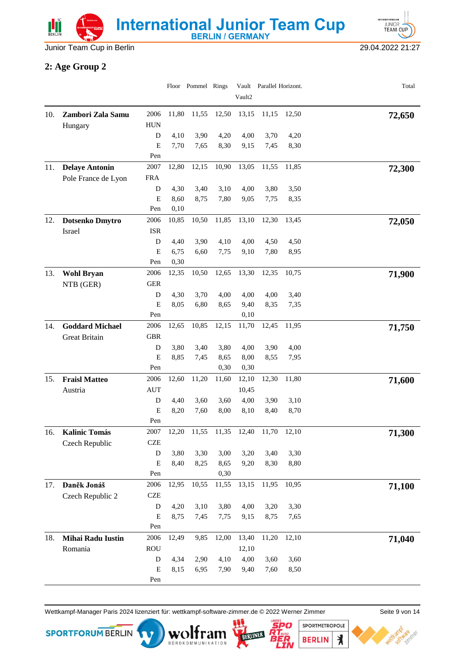

**INTERNATIONALE EXATIONALER**<br>JUNIOR<br>TEAM CUP

#### **2: Age Group 2**

|     |                        |                    |              | Floor Pommel Rings |              | Vault2       | Vault Parallel Horizont. |              | Total  |
|-----|------------------------|--------------------|--------------|--------------------|--------------|--------------|--------------------------|--------------|--------|
|     |                        |                    |              |                    |              |              |                          |              |        |
| 10. | Zambori Zala Samu      | 2006               | 11,80        | 11,55              | 12,50        | 13,15        | 11,15                    | 12,50        | 72,650 |
|     | Hungary                | <b>HUN</b><br>D    | 4,10         | 3,90               | 4,20         | 4,00         | 3,70                     | 4,20         |        |
|     |                        | E                  | 7,70         | 7,65               | 8,30         | 9,15         | 7,45                     | 8,30         |        |
|     |                        | Pen                |              |                    |              |              |                          |              |        |
| 11. | <b>Delaye Antonin</b>  | 2007               | 12,80        | 12,15              | 10,90        | 13,05        | 11,55                    | 11,85        | 72,300 |
|     | Pole France de Lyon    | <b>FRA</b>         |              |                    |              |              |                          |              |        |
|     |                        | D                  | 4,30         | 3,40               | 3,10         | 4,00         | 3,80                     | 3,50         |        |
|     |                        | E                  | 8,60         | 8,75               | 7,80         | 9,05         | 7,75                     | 8,35         |        |
|     |                        | Pen                | 0,10         |                    |              |              |                          |              |        |
| 12. | Dotsenko Dmytro        | 2006<br><b>ISR</b> | 10,85        | 10,50              | 11,85        | 13,10        | 12,30                    | 13,45        | 72,050 |
|     | Israel                 | D                  | 4,40         | 3,90               | 4,10         | 4,00         | 4,50                     | 4,50         |        |
|     |                        | E                  | 6,75         | 6,60               | 7,75         | 9,10         | 7,80                     | 8,95         |        |
|     |                        | Pen                | 0,30         |                    |              |              |                          |              |        |
| 13. | <b>Wohl Bryan</b>      | 2006               | 12,35        | 10,50              | 12,65        | 13,30        | 12,35                    | 10,75        | 71,900 |
|     | NTB (GER)              | <b>GER</b>         |              |                    |              |              |                          |              |        |
|     |                        | D                  | 4,30         | 3,70               | 4,00         | 4,00         | 4,00                     | 3,40         |        |
|     |                        | E                  | 8,05         | 6,80               | 8,65         | 9,40         | 8,35                     | 7,35         |        |
|     |                        | Pen                |              |                    |              | 0,10         |                          |              |        |
| 14. | <b>Goddard Michael</b> | 2006               | 12,65        | 10,85              | 12,15        | 11,70        | 12,45                    | 11,95        | 71,750 |
|     | Great Britain          | <b>GBR</b>         |              |                    |              |              |                          |              |        |
|     |                        | D<br>E             | 3,80<br>8,85 | 3,40<br>7,45       | 3,80<br>8,65 | 4,00<br>8,00 | 3,90<br>8,55             | 4,00<br>7,95 |        |
|     |                        | Pen                |              |                    | 0,30         | 0,30         |                          |              |        |
| 15. | <b>Fraisl Matteo</b>   | 2006               | 12,60        | 11,20              | 11,60        | 12,10        | 12,30                    | 11,80        | 71,600 |
|     | Austria                | <b>AUT</b>         |              |                    |              | 10,45        |                          |              |        |
|     |                        | D                  | 4,40         | 3,60               | 3,60         | 4,00         | 3,90                     | 3,10         |        |
|     |                        | E                  | 8,20         | 7,60               | 8,00         | 8,10         | 8,40                     | 8,70         |        |
|     |                        | Pen                |              |                    |              |              |                          |              |        |
| 16. | <b>Kalinic Tomás</b>   | 2007               | 12,20        | 11,55              | 11,35        | 12,40        | 11,70                    | 12,10        | 71,300 |
|     | Czech Republic         | <b>CZE</b>         |              |                    |              |              |                          |              |        |
|     |                        | ${\rm D}$<br>E     | 3,80<br>8,40 | 3,30<br>8,25       | 3,00<br>8,65 | 3,20<br>9,20 | 3,40<br>8,30             | 3,30<br>8,80 |        |
|     |                        | Pen                |              |                    | 0,30         |              |                          |              |        |
| 17. | Daněk Jonáš            | 2006               | 12,95        | 10,55              | 11,55        | 13,15        | 11,95                    | 10,95        | 71,100 |
|     | Czech Republic 2       | <b>CZE</b>         |              |                    |              |              |                          |              |        |
|     |                        | D                  | 4,20         | 3,10               | 3,80         | 4,00         | 3,20                     | 3,30         |        |
|     |                        | ${\bf E}$          | 8,75         | 7,45               | 7,75         | 9,15         | 8,75                     | 7,65         |        |
|     |                        | Pen                |              |                    |              |              |                          |              |        |
| 18. | Mihai Radu Iustin      | 2006               | 12,49        | 9,85               | 12,00        | 13,40        | 11,20                    | 12,10        | 71,040 |
|     | Romania                | <b>ROU</b>         |              |                    |              | 12,10        |                          |              |        |
|     |                        | D                  | 4,34         | 2,90               | 4,10         | 4,00         | 3,60                     | 3,60         |        |
|     |                        | E<br>Pen           | 8,15         | 6,95               | 7,90         | 9,40         | 7,60                     | 8,50         |        |
|     |                        |                    |              |                    |              |              |                          |              |        |

Wettkampf-Manager Paris 2024 lizenziert für: wettkampf-software-zimmer.de © 2022 Werner Zimmer Seite 9 von 14

BÜROKOMMUNIKATION





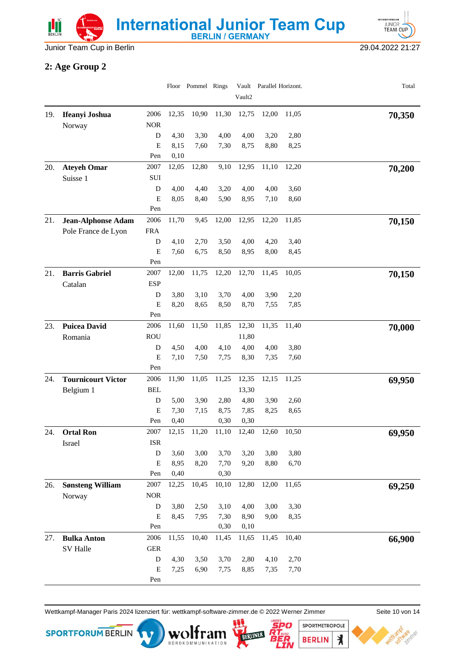



### **2: Age Group 2**

|     |                           |                    |              | Floor Pommel Rings |              | Vault2       | Vault Parallel Horizont. |       | Total  |
|-----|---------------------------|--------------------|--------------|--------------------|--------------|--------------|--------------------------|-------|--------|
|     |                           |                    |              |                    |              |              |                          |       |        |
| 19. | Ifeanyi Joshua<br>Norway  | 2006<br><b>NOR</b> | 12,35        | 10,90              | 11,30        | 12,75        | 12,00                    | 11,05 | 70,350 |
|     |                           | D                  | 4,30         | 3,30               | 4,00         | 4,00         | 3,20                     | 2,80  |        |
|     |                           | E                  | 8,15         | 7,60               | 7,30         | 8,75         | 8,80                     | 8,25  |        |
|     |                           | Pen                | 0,10         |                    |              |              |                          |       |        |
| 20. | <b>Ateyeh Omar</b>        | 2007               | 12,05        | 12,80              | 9,10         | 12,95        | 11,10                    | 12,20 | 70,200 |
|     | Suisse 1                  | SUI                |              |                    |              |              |                          |       |        |
|     |                           | D                  | 4,00         | 4,40               | 3,20         | 4,00         | 4,00                     | 3,60  |        |
|     |                           | E                  | 8,05         | 8,40               | 5,90         | 8,95         | 7,10                     | 8,60  |        |
|     |                           | Pen                |              |                    |              |              |                          |       |        |
| 21. | <b>Jean-Alphonse Adam</b> | 2006               | 11,70        | 9,45               | 12,00        | 12,95        | 12,20                    | 11,85 | 70,150 |
|     | Pole France de Lyon       | <b>FRA</b>         |              |                    |              |              |                          |       |        |
|     |                           | D                  | 4,10         | 2,70               | 3,50         | 4,00         | 4,20                     | 3,40  |        |
|     |                           | E<br>Pen           | 7,60         | 6,75               | 8,50         | 8,95         | 8,00                     | 8,45  |        |
| 21. | <b>Barris Gabriel</b>     | 2007               | 12,00        | 11,75              | 12,20        | 12,70        | 11,45                    | 10,05 |        |
|     | Catalan                   | <b>ESP</b>         |              |                    |              |              |                          |       | 70,150 |
|     |                           | D                  | 3,80         | 3,10               | 3,70         | 4,00         | 3,90                     | 2,20  |        |
|     |                           | E                  | 8,20         | 8,65               | 8,50         | 8,70         | 7,55                     | 7,85  |        |
|     |                           | Pen                |              |                    |              |              |                          |       |        |
| 23. | <b>Puicea David</b>       | 2006               | 11,60        | 11,50              | 11,85        | 12,30        | 11,35                    | 11,40 | 70,000 |
|     | Romania                   | <b>ROU</b>         |              |                    |              | 11,80        |                          |       |        |
|     |                           | D                  | 4,50         | 4,00               | 4,10         | 4,00         | 4,00                     | 3,80  |        |
|     |                           | ${\bf E}$          | 7,10         | 7,50               | 7,75         | 8,30         | 7,35                     | 7,60  |        |
|     |                           | Pen                |              |                    |              |              |                          |       |        |
| 24. | <b>Tournicourt Victor</b> | 2006               | 11,90        | 11,05              | 11,25        | 12,35        | 12,15                    | 11,25 | 69,950 |
|     | Belgium 1                 | <b>BEL</b>         |              |                    |              | 13,30        |                          |       |        |
|     |                           | D                  | 5,00         | 3,90               | 2,80         | 4,80         | 3,90                     | 2,60  |        |
|     |                           | E<br>Pen           | 7,30<br>0,40 | 7,15               | 8,75<br>0,30 | 7,85<br>0,30 | 8,25                     | 8,65  |        |
| 24. | <b>Ortal Ron</b>          | 2007               | 12,15        | 11,20              | 11,10        | 12,40        | 12,60                    | 10,50 |        |
|     | Israel                    | <b>ISR</b>         |              |                    |              |              |                          |       | 69,950 |
|     |                           | ${\bf D}$          | 3,60         | 3,00               | 3,70         | 3,20         | 3,80                     | 3,80  |        |
|     |                           | ${\bf E}$          | 8,95         | 8,20               | 7,70         | 9,20         | 8,80                     | 6,70  |        |
|     |                           | Pen                | 0,40         |                    | 0,30         |              |                          |       |        |
| 26. | <b>Sønsteng William</b>   | 2007               | 12,25        | 10,45              | 10,10        | 12,80        | 12,00                    | 11,65 | 69,250 |
|     | Norway                    | $\rm{NOR}$         |              |                    |              |              |                          |       |        |
|     |                           | D                  | 3,80         | 2,50               | 3,10         | 4,00         | 3,00                     | 3,30  |        |
|     |                           | ${\bf E}$          | 8,45         | 7,95               | 7,30         | 8,90         | 9,00                     | 8,35  |        |
|     |                           | Pen                |              |                    | 0,30         | 0,10         |                          |       |        |
| 27. | <b>Bulka Anton</b>        | 2006               | 11,55        | 10,40              | 11,45        | 11,65        | 11,45                    | 10,40 | 66,900 |
|     | SV Halle                  | <b>GER</b>         |              |                    |              |              |                          |       |        |
|     |                           | D                  | 4,30         | 3,50               | 3,70         | 2,80         | 4,10                     | 2,70  |        |
|     |                           | ${\bf E}$          | 7,25         | 6,90               | 7,75         | 8,85         | 7,35                     | 7,70  |        |
|     |                           | Pen                |              |                    |              |              |                          |       |        |

Wettkampf-Manager Paris 2024 lizenziert für: wettkampf-software-zimmer.de © 2022 Werner Zimmer Seite 10 von 14

BOROKOMMUNIKATION

**SPORTFORUM BERLIN** 



 $\mathbf{\mathbf{r}}$ 

**BERLIN** 

'er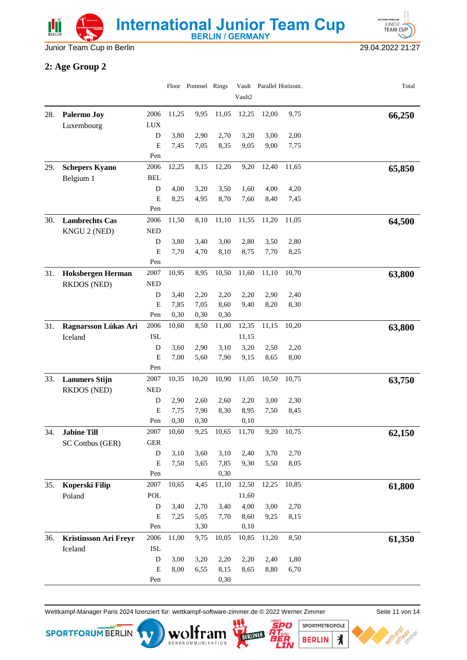



### **2: Age Group 2**

|     |                              |                |              | Floor Pommel Rings |              | Vault2       | Vault Parallel Horizont. |              | Total  |
|-----|------------------------------|----------------|--------------|--------------------|--------------|--------------|--------------------------|--------------|--------|
| 28. | Palermo Joy                  | 2006           | 11,25        | 9,95               | 11,05        | 12,25        | 12,00                    | 9,75         |        |
|     | Luxembourg                   | <b>LUX</b>     |              |                    |              |              |                          |              | 66,250 |
|     |                              | D              | 3,80         | 2,90               | 2,70         | 3,20         | 3,00                     | 2,00         |        |
|     |                              | ${\bf E}$      | 7,45         | 7,05               | 8,35         | 9,05         | 9,00                     | 7,75         |        |
|     |                              | Pen            |              |                    |              |              |                          |              |        |
| 29. | <b>Schepers Kyano</b>        | 2006           | 12,25        | 8,15               | 12,20        | 9,20         | 12,40                    | 11,65        | 65,850 |
|     | Belgium 1                    | <b>BEL</b>     |              |                    |              |              |                          |              |        |
|     |                              | D              | 4,00         | 3,20               | 3,50         | 1,60         | 4,00                     | 4,20         |        |
|     |                              | E              | 8,25         | 4,95               | 8,70         | 7,60         | 8,40                     | 7,45         |        |
|     |                              | Pen            |              |                    |              |              |                          |              |        |
| 30. | <b>Lambrechts Cas</b>        | 2006           | 11,50        | 8,10               | 11,10        | 11,55        | 11,20                    | 11,05        | 64,500 |
|     | KNGU 2 (NED)                 | <b>NED</b>     |              |                    |              |              |                          |              |        |
|     |                              | ${\bf D}$<br>E | 3,80<br>7,70 | 3,40<br>4,70       | 3,00<br>8,10 | 2,80<br>8,75 | 3,50<br>7,70             | 2,80<br>8,25 |        |
|     |                              | Pen            |              |                    |              |              |                          |              |        |
| 31. | <b>Hoksbergen Herman</b>     | 2007           | 10,95        | 8,95               | 10,50        | 11,60        | 11,10                    | 10,70        | 63,800 |
|     | <b>RKDOS</b> (NED)           | <b>NED</b>     |              |                    |              |              |                          |              |        |
|     |                              | D              | 3,40         | 2,20               | 2,20         | 2,20         | 2,90                     | 2,40         |        |
|     |                              | E              | 7,85         | 7,05               | 8,60         | 9,40         | 8,20                     | 8,30         |        |
|     |                              | Pen            | 0,30         | 0,30               | 0,30         |              |                          |              |        |
| 31. | Ragnarsson Lúkas Ari         | 2006           | 10,60        | 8,50               | 11,00        | 12,35        | 11,15                    | 10,20        | 63,800 |
|     | Iceland                      | <b>ISL</b>     |              |                    |              | 11,15        |                          |              |        |
|     |                              | D              | 3,60         | 2,90               | 3,10         | 3,20         | 2,50                     | 2,20         |        |
|     |                              | E              | 7,00         | 5,60               | 7,90         | 9,15         | 8,65                     | 8,00         |        |
|     |                              | Pen            |              |                    |              |              |                          |              |        |
| 33. | <b>Lammers Stijn</b>         | 2007           | 10,35        | 10,20              | 10,90        | 11,05        | 10,50                    | 10,75        | 63,750 |
|     | RKDOS (NED)                  | <b>NED</b>     |              |                    |              |              |                          |              |        |
|     |                              | D<br>E         | 2,90<br>7,75 | 2,60<br>7,90       | 2,60<br>8,30 | 2,20<br>8,95 | 3,00<br>7,50             | 2,30<br>8,45 |        |
|     |                              | Pen            | 0,30         | 0,30               |              | 0,10         |                          |              |        |
| 34. | <b>Jabine Till</b>           | 2007           | 10,60        | 9,25               | 10,65        | 11,70        | 9,20                     | 10,75        | 62,150 |
|     | SC Cottbus (GER)             | <b>GER</b>     |              |                    |              |              |                          |              |        |
|     |                              | $\mathbf D$    | 3,10         | 3,60               | 3,10         | 2,40         | 3,70                     | 2,70         |        |
|     |                              | ${\bf E}$      | 7,50         | 5,65               | 7,85         | 9,30         | 5,50                     | 8,05         |        |
|     |                              | Pen            |              |                    | 0,30         |              |                          |              |        |
| 35. | Koperski Filip               | 2007           | 10,65        | 4,45               | 11,10        | 12,50        | 12,25                    | 10,85        | 61,800 |
|     | Poland                       | POL            |              |                    |              | 11,60        |                          |              |        |
|     |                              | ${\bf D}$      | 3,40         | 2,70               | 3,40         | 4,00         | 3,00                     | 2,70         |        |
|     |                              | ${\bf E}$      | 7,25         | 5,05               | 7,70         | 8,60         | 9,25                     | 8,15         |        |
|     |                              | Pen            |              | 3,30               |              | 0,10         |                          |              |        |
| 36. | <b>Kristinsson Ari Freyr</b> | 2006           | 11,00        | 9,75               | 10,05        | 10,85        | 11,20                    | 8,50         | 61,350 |
|     | Iceland                      | <b>ISL</b>     |              |                    |              |              |                          |              |        |
|     |                              | D              | 3,00         | 3,20               | 2,20         | 2,20         | 2,40                     | 1,80         |        |
|     |                              | E<br>Pen       | 8,00         | 6,55               | 8,15<br>0,30 | 8,65         | 8,80                     | 6,70         |        |
|     |                              |                |              |                    |              |              |                          |              |        |

Wettkampf-Manager Paris 2024 lizenziert für: wettkampf-software-zimmer.de © 2022 Werner Zimmer Seite 11 von 14

BÜROKOMMUNIKATION



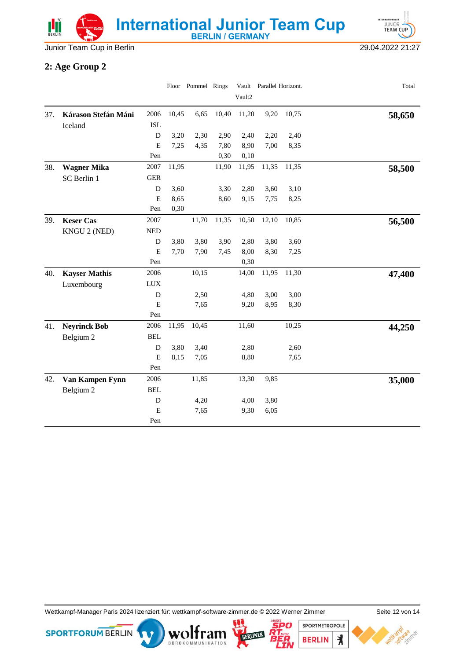Junior Team Cup in Berlin 29.04.2022 21:27

**INTERNATIONALE** JUNIOR<sup>1</sup>

#### **2: Age Group 2**

|     |                      |             |       | Floor Pommel Rings |       |        | Vault Parallel Horizont. |       | Total  |
|-----|----------------------|-------------|-------|--------------------|-------|--------|--------------------------|-------|--------|
|     |                      |             |       |                    |       | Vault2 |                          |       |        |
| 37. | Kárason Stefán Máni  | 2006        | 10,45 | 6,65               | 10,40 | 11,20  | 9,20                     | 10,75 | 58,650 |
|     | Iceland              | <b>ISL</b>  |       |                    |       |        |                          |       |        |
|     |                      | D           | 3,20  | 2,30               | 2,90  | 2,40   | 2,20                     | 2,40  |        |
|     |                      | E           | 7,25  | 4,35               | 7,80  | 8,90   | 7,00                     | 8,35  |        |
|     |                      | Pen         |       |                    | 0,30  | 0,10   |                          |       |        |
| 38. | <b>Wagner Mika</b>   | 2007        | 11,95 |                    | 11,90 | 11,95  | 11,35                    | 11,35 | 58,500 |
|     | SC Berlin 1          | <b>GER</b>  |       |                    |       |        |                          |       |        |
|     |                      | D           | 3,60  |                    | 3,30  | 2,80   | 3,60                     | 3,10  |        |
|     |                      | E           | 8,65  |                    | 8,60  | 9,15   | 7,75                     | 8,25  |        |
|     |                      | Pen         | 0,30  |                    |       |        |                          |       |        |
| 39. | <b>Keser Cas</b>     | 2007        |       | 11,70              | 11,35 | 10,50  | 12,10                    | 10,85 | 56,500 |
|     | KNGU 2 (NED)         | <b>NED</b>  |       |                    |       |        |                          |       |        |
|     |                      | ${\bf D}$   | 3,80  | 3,80               | 3,90  | 2,80   | 3,80                     | 3,60  |        |
|     |                      | E           | 7,70  | 7,90               | 7,45  | 8,00   | 8,30                     | 7,25  |        |
|     |                      | Pen         |       |                    |       | 0,30   |                          |       |        |
| 40. | <b>Kayser Mathis</b> | 2006        |       | 10,15              |       | 14,00  | 11,95                    | 11,30 | 47,400 |
|     | Luxembourg           | <b>LUX</b>  |       |                    |       |        |                          |       |        |
|     |                      | D           |       | 2,50               |       | 4,80   | 3,00                     | 3,00  |        |
|     |                      | $\mathbf E$ |       | 7,65               |       | 9,20   | 8,95                     | 8,30  |        |
|     |                      | Pen         |       |                    |       |        |                          |       |        |
| 41. | <b>Neyrinck Bob</b>  | 2006        | 11,95 | 10,45              |       | 11,60  |                          | 10,25 | 44,250 |
|     | Belgium 2            | <b>BEL</b>  |       |                    |       |        |                          |       |        |
|     |                      | D           | 3,80  | 3,40               |       | 2,80   |                          | 2,60  |        |
|     |                      | E           | 8,15  | 7,05               |       | 8,80   |                          | 7,65  |        |
|     |                      | Pen         |       |                    |       |        |                          |       |        |
| 42. | Van Kampen Fynn      | 2006        |       | 11,85              |       | 13,30  | 9,85                     |       | 35,000 |
|     | Belgium 2            | <b>BEL</b>  |       |                    |       |        |                          |       |        |
|     |                      | $\mathbf D$ |       | 4,20               |       | 4,00   | 3,80                     |       |        |
|     |                      | $\mathbf E$ |       | 7,65               |       | 9,30   | 6,05                     |       |        |
|     |                      | Pen         |       |                    |       |        |                          |       |        |

Wettkampf-Manager Paris 2024 lizenziert für: wettkampf-software-zimmer.de © 2022 Werner Zimmer Seite 12 von 14

BOROKOMMUNIKATION





120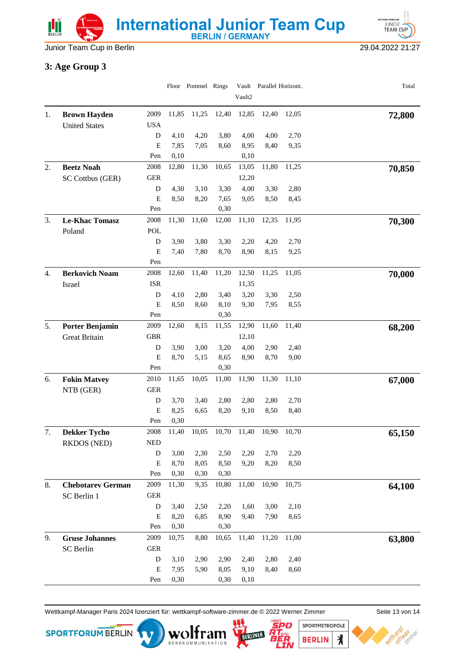

Junior Team Cup in Berlin 29.04.2022 21:27

### **3: Age Group 3**

|    |                                         |                          |               | Floor Pommel Rings |               | Vault2       | Vault Parallel Horizont. |              | Total  |
|----|-----------------------------------------|--------------------------|---------------|--------------------|---------------|--------------|--------------------------|--------------|--------|
|    |                                         |                          |               |                    |               |              |                          |              |        |
| 1. | <b>Brown Hayden</b>                     | 2009                     | 11,85         | 11,25              | 12,40         | 12,85        | 12,40                    | 12,05        | 72,800 |
|    | <b>United States</b>                    | <b>USA</b><br>${\bf D}$  | 4,10          | 4,20               | 3,80          | 4,00         | 4,00                     | 2,70         |        |
|    |                                         | E                        | 7,85          | 7,05               | 8,60          | 8,95         | 8,40                     | 9,35         |        |
|    |                                         | Pen                      | 0,10          |                    |               | 0,10         |                          |              |        |
| 2. | <b>Beetz Noah</b>                       | 2008                     | 12,80         | 11,30              | 10,65         | 13,05        | 11,80                    | 11,25        | 70,850 |
|    | SC Cottbus (GER)                        | <b>GER</b>               |               |                    |               | 12,20        |                          |              |        |
|    |                                         | D                        | 4,30          | 3,10               | 3,30          | 4,00         | 3,30                     | 2,80         |        |
|    |                                         | ${\bf E}$                | 8,50          | 8,20               | 7,65          | 9,05         | 8,50                     | 8,45         |        |
|    |                                         | Pen                      |               |                    | 0,30          |              |                          |              |        |
| 3. | <b>Le-Khac Tomasz</b>                   | 2008                     | 11,30         | 11,60              | 12,00         | 11,10        | 12,35                    | 11,95        | 70,300 |
|    | Poland                                  | POL                      |               |                    |               |              |                          |              |        |
|    |                                         | ${\bf D}$<br>$\mathbf E$ | 3,90<br>7,40  | 3,80<br>7,80       | 3,30<br>8,70  | 2,20<br>8,90 | 4,20<br>8,15             | 2,70<br>9,25 |        |
|    |                                         | Pen                      |               |                    |               |              |                          |              |        |
| 4. | <b>Berkovich Noam</b>                   | 2008                     | 12,60         | 11,40              | 11,20         | 12,50        | 11,25                    | 11,05        | 70,000 |
|    | Israel                                  | <b>ISR</b>               |               |                    |               | 11,35        |                          |              |        |
|    |                                         | D                        | 4,10          | 2,80               | 3,40          | 3,20         | 3,30                     | 2,50         |        |
|    |                                         | ${\bf E}$                | 8,50          | 8,60               | 8,10          | 9,30         | 7,95                     | 8,55         |        |
|    |                                         | Pen                      |               |                    | 0,30          |              |                          |              |        |
| 5. | <b>Porter Benjamin</b>                  | 2009                     | 12,60         | 8,15               | 11,55         | 12,90        | 11,60                    | 11,40        | 68,200 |
|    | Great Britain                           | <b>GBR</b>               |               |                    |               | 12,10        |                          |              |        |
|    |                                         | D                        | 3,90          | 3,00               | 3,20          | 4,00         | 2,90                     | 2,40         |        |
|    |                                         | E<br>Pen                 | 8,70          | 5,15               | 8,65<br>0,30  | 8,90         | 8,70                     | 9,00         |        |
| 6. | <b>Fokin Matvey</b>                     | 2010                     | 11,65         | 10,05              | 11,00         | 11,90        | 11,30                    | 11,10        |        |
|    | NTB (GER)                               | <b>GER</b>               |               |                    |               |              |                          |              | 67,000 |
|    |                                         | D                        | 3,70          | 3,40               | 2,80          | 2,80         | 2,80                     | 2,70         |        |
|    |                                         | ${\bf E}$                | 8,25          | 6,65               | 8,20          | 9,10         | 8,50                     | 8,40         |        |
|    |                                         | Pen                      | 0,30          |                    |               |              |                          |              |        |
| 7. | <b>Dekker Tycho</b>                     | 2008                     | 11,40         | 10,05              | 10,70         | 11,40        | 10,90                    | 10,70        | 65,150 |
|    | <b>RKDOS</b> (NED)                      | <b>NED</b>               |               |                    |               |              |                          |              |        |
|    |                                         | ${\bf D}$                | 3,00          | 2,30               | 2,50          | 2,20         | 2,70                     | 2,20         |        |
|    |                                         | $\mathbf E$              | 8,70          | 8,05               | 8,50          | 9,20         | 8,20                     | 8,50         |        |
| 8. |                                         | Pen<br>2009              | 0,30<br>11,30 | 0,30<br>9,35       | 0,30<br>10,80 | 11,00        | 10,90                    | 10,75        |        |
|    | <b>Chebotarev German</b><br>SC Berlin 1 | <b>GER</b>               |               |                    |               |              |                          |              | 64,100 |
|    |                                         | D                        | 3,40          | 2,50               | 2,20          | 1,60         | 3,00                     | 2,10         |        |
|    |                                         | E                        | 8,20          | 6,85               | 8,90          | 9,40         | 7,90                     | 8,65         |        |
|    |                                         | Pen                      | 0,30          |                    | 0,30          |              |                          |              |        |
| 9. | <b>Gruse Johannes</b>                   | 2009                     | 10,75         | 8,80               | 10,65         | 11,40        | 11,20                    | 11,00        | 63,800 |
|    | SC Berlin                               | <b>GER</b>               |               |                    |               |              |                          |              |        |
|    |                                         | D                        | 3,10          | 2,90               | 2,90          | 2,40         | 2,80                     | 2,40         |        |
|    |                                         | $\mathbf E$              | 7,95          | 5,90               | 8,05          | 9,10         | 8,40                     | 8,60         |        |
|    |                                         | Pen                      | 0,30          |                    | 0,30          | 0,10         |                          |              |        |

Wettkampf-Manager Paris 2024 lizenziert für: wettkampf-software-zimmer.de © 2022 Werner Zimmer Seite 13 von 14

BOROKOMMUNIKATION



SPORTMETROPOLE 'er